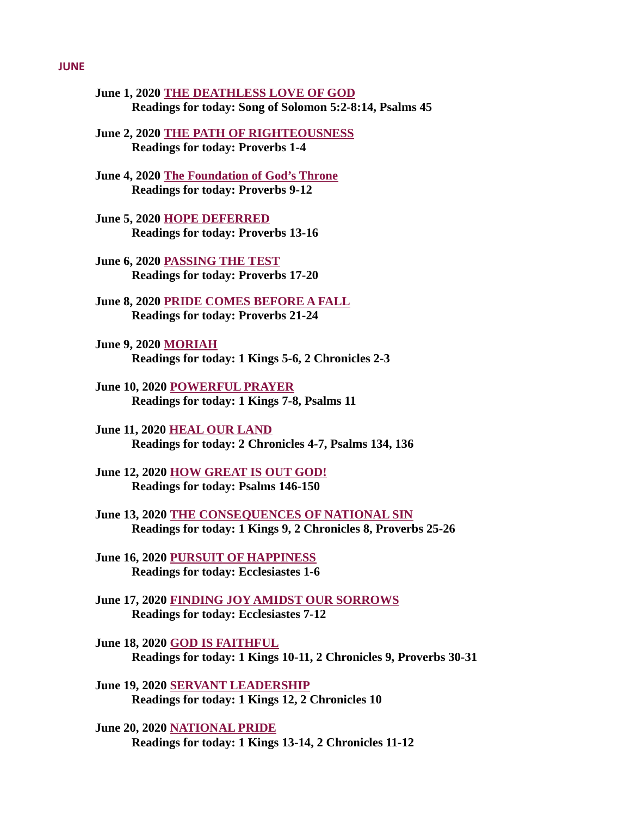# June 1, 2020 THE DEATHLESS LOVE OF GOD [Readings for today: Song of Solomon 5:2-8:14, Psalms 45](#page-2-0)

- [June 2, 2020 THE PATH OF RIGHTEOUSNESS](#page-3-0) Readings for today: Proverbs 1-4
- [June 4, 2020 The Foundation of God's Throne](#page-4-0) Readings for today: Proverbs 9-12
- June 5, 2020 HOPE DEFERRED [Readings for today: Proverbs 13-16](#page-5-0)
- June 6, 2020 PASSING THE TEST [Readings for today: Proverbs 17-20](#page-13-0)
- [June 8, 2020 PRIDE COMES BEFORE A FALL](#page-15-0) Readings for today: Proverbs 21-24
- June 9, 2020 MORIAH [Readings for today: 1 Kings 5-6, 2 Chronicles 2-3](#page-16-0)
- June 10, 2020 POWERFUL PRAYER [Readings for today: 1 Kings 7-8, Psalms 11](#page-17-0)
- June 11, 2020 HEAL OUR LAND [Readings for today: 2 Chronicles 4-7, Psalms 134, 136](#page-19-0)
- [June 12, 2020 HOW GREAT IS OUT GOD!](#page-20-0) Readings for today: Psalms 146-150
- June 13, 2020 THE CONSEQUENCES OF NATIONAL SIN [Readings for today: 1 Kings 9, 2 Chronicles 8, Proverbs 25-26](#page-21-0)
- [June 16, 2020 PURSUIT OF HAPPINESS](#page-23-0) Readings for today: Ecclesiastes 1-6
- [June 17, 2020 FINDING JOY AMIDST OUR SORROWS](#page-25-0) Readings for today: Ecclesiastes 7-12
- June 18, 2020 GOD IS FAITHFUL [Readings for today: 1 Kings 10-11, 2 Chronicles 9, Proverbs 30-31](#page-27-0)
- June 19, 2020 SERVANT LEADERSHIP [Readings for today: 1 Kings 12, 2 Chronicles 10](#page-29-0)
- June 20, 2020 NATIONAL PRIDE [Readings for today: 1 Kings 13-14, 2 Chronicles 11-12](#page-31-0)

#### **JUNE**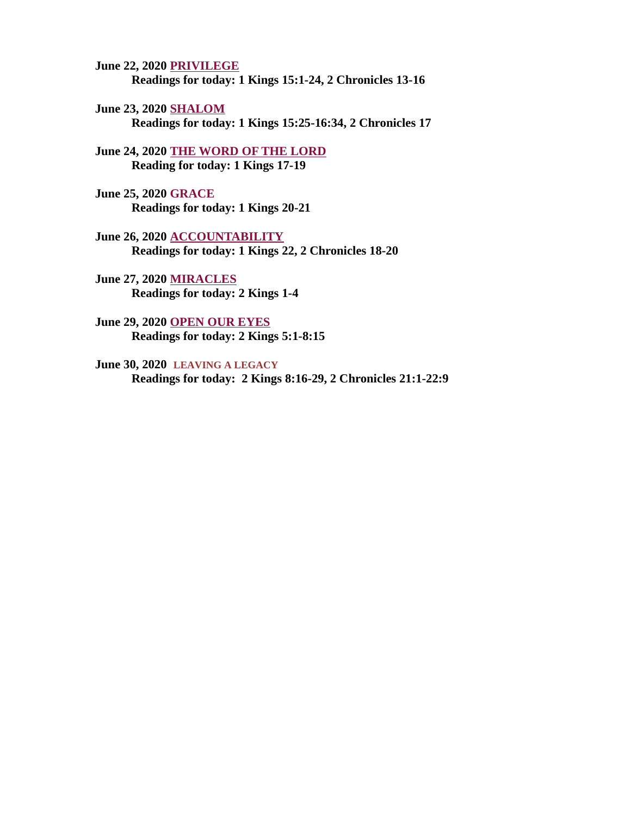June 22, 2020 PRIVILEGE [Readings for today: 1 Kings 15:1-24, 2 Chronicles 13-16](#page-33-0)

June 23, 2020 SHALOM [Readings for today: 1 Kings 15:25-16:34, 2 Chronicles 17](#page-35-0)

[June 24, 2020 THE WORD OF THE LORD](#page-36-0) Reading for today: 1 Kings 17-19

- June 25, 2020 GRACE [Readings for today: 1 Kings 20-21](#page-37-0)
- June 26, 2020 ACCOUNTABILITY [Readings for today: 1 Kings 22, 2 Chronicles 18-20](#page-38-0)
- June 27, 2020 MIRACLES [Readings for today: 2 Kings 1-4](#page-39-0)
- June 29, 2020 OPEN OUR EYES [Readings for today: 2 Kings 5:1-8:15](#page-40-0)
- June 30, 2020 **LEAVING A LEGACY**[Readings for today: 2 Kings 8:16-29, 2 Chronicles 21:1-22:9](#page-41-0)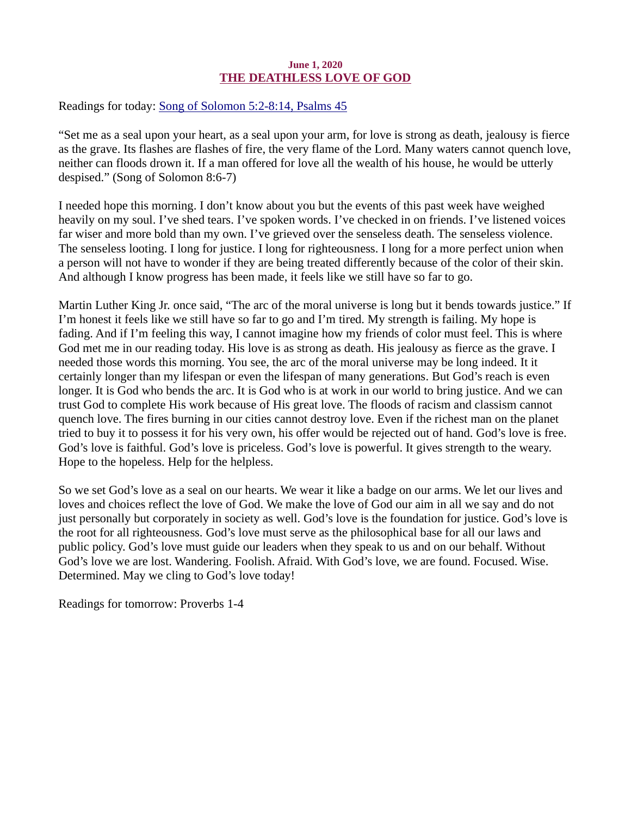#### June 1, 2020 THE DEATHLESS LOVE OF GOD

<span id="page-2-0"></span>[Readings for today: Song of Solomon 5:2-8:14, Psalms 45](https://www.biblegateway.com/passage/?search=Song+of+Solomon+5%3A2-8%3A14%2C+Psalms+45&version=ESV)

"Set me as a seal upon your heart, as a seal upon your arm, for love is strong as death, jealousy is fierce as the grave. Its flashes are flashes of fire, the very flame of the Lord. Many waters cannot quench love, neither can floods drown it. If a man offered for love all the wealth of his house, he would be utterly despised." (Song of Solomon 8:6-7)

I needed hope this morning. I don't know about you but the events of this past week have weighed heavily on my soul. I've shed tears. I've spoken words. I've checked in on friends. I've listened voices far wiser and more bold than my own. I've grieved over the senseless death. The senseless violence. The senseless looting. I long for justice. I long for righteousness. I long for a more perfect union when a person will not have to wonder if they are being treated differently because of the color of their skin. And although I know progress has been made, it feels like we still have so far to go.

Martin Luther King Jr. once said, "The arc of the moral universe is long but it bends towards justice." If I'm honest it feels like we still have so far to go and I'm tired. My strength is failing. My hope is fading. And if I'm feeling this way, I cannot imagine how my friends of color must feel. This is where God met me in our reading today. His love is as strong as death. His jealousy as fierce as the grave. I needed those words this morning. You see, the arc of the moral universe may be long indeed. It it certainly longer than my lifespan or even the lifespan of many generations. But God's reach is even longer. It is God who bends the arc. It is God who is at work in our world to bring justice. And we can trust God to complete His work because of His great love. The floods of racism and classism cannot quench love. The fires burning in our cities cannot destroy love. Even if the richest man on the planet tried to buy it to possess it for his very own, his offer would be rejected out of hand. God's love is free. God's love is faithful. God's love is priceless. God's love is powerful. It gives strength to the weary. Hope to the hopeless. Help for the helpless.

So we set God's love as a seal on our hearts. We wear it like a badge on our arms. We let our lives and loves and choices reflect the love of God. We make the love of God our aim in all we say and do not just personally but corporately in society as well. God's love is the foundation for justice. God's love is the root for all righteousness. God's love must serve as the philosophical base for all our laws and public policy. God's love must guide our leaders when they speak to us and on our behalf. Without God's love we are lost. Wandering. Foolish. Afraid. With God's love, we are found. Focused. Wise. Determined. May we cling to God's love today!

Readings for tomorrow: Proverbs 1-4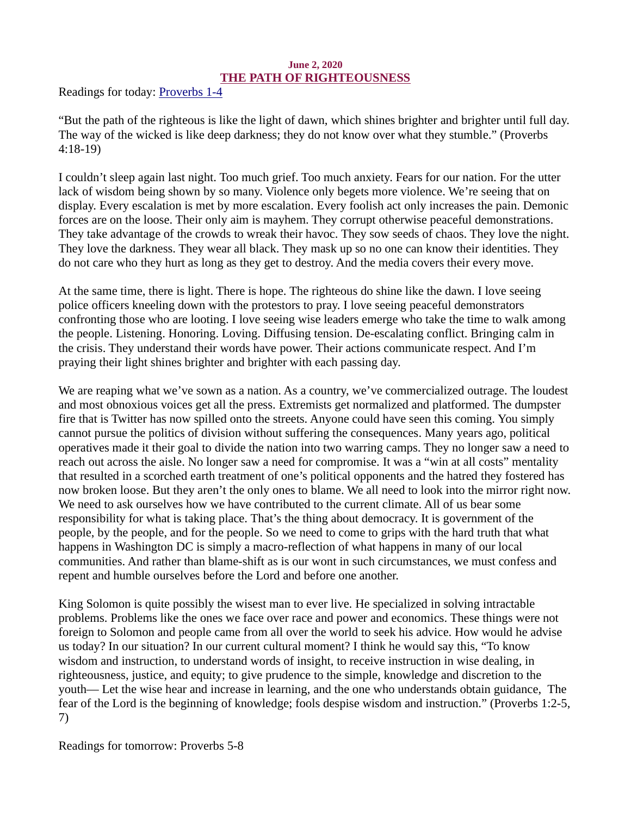## June 2, 2020 THE PATH OF RIGHTEOUSNESS

<span id="page-3-0"></span>[Readings for today: Proverbs 1-4](https://www.biblegateway.com/passage/?search=Proverbs+1-4&version=ESV)

"But the path of the righteous is like the light of dawn, which shines brighter and brighter until full day. The way of the wicked is like deep darkness; they do not know over what they stumble." (Proverbs 4:18-19)

I couldn't sleep again last night. Too much grief. Too much anxiety. Fears for our nation. For the utter lack of wisdom being shown by so many. Violence only begets more violence. We're seeing that on display. Every escalation is met by more escalation. Every foolish act only increases the pain. Demonic forces are on the loose. Their only aim is mayhem. They corrupt otherwise peaceful demonstrations. They take advantage of the crowds to wreak their havoc. They sow seeds of chaos. They love the night. They love the darkness. They wear all black. They mask up so no one can know their identities. They do not care who they hurt as long as they get to destroy. And the media covers their every move.

At the same time, there is light. There is hope. The righteous do shine like the dawn. I love seeing police officers kneeling down with the protestors to pray. I love seeing peaceful demonstrators confronting those who are looting. I love seeing wise leaders emerge who take the time to walk among the people. Listening. Honoring. Loving. Diffusing tension. De-escalating conflict. Bringing calm in the crisis. They understand their words have power. Their actions communicate respect. And I'm praying their light shines brighter and brighter with each passing day.

We are reaping what we've sown as a nation. As a country, we've commercialized outrage. The loudest and most obnoxious voices get all the press. Extremists get normalized and platformed. The dumpster fire that is Twitter has now spilled onto the streets. Anyone could have seen this coming. You simply cannot pursue the politics of division without suffering the consequences. Many years ago, political operatives made it their goal to divide the nation into two warring camps. They no longer saw a need to reach out across the aisle. No longer saw a need for compromise. It was a "win at all costs" mentality that resulted in a scorched earth treatment of one's political opponents and the hatred they fostered has now broken loose. But they aren't the only ones to blame. We all need to look into the mirror right now. We need to ask ourselves how we have contributed to the current climate. All of us bear some responsibility for what is taking place. That's the thing about democracy. It is government of the people, by the people, and for the people. So we need to come to grips with the hard truth that what happens in Washington DC is simply a macro-reflection of what happens in many of our local communities. And rather than blame-shift as is our wont in such circumstances, we must confess and repent and humble ourselves before the Lord and before one another.

King Solomon is quite possibly the wisest man to ever live. He specialized in solving intractable problems. Problems like the ones we face over race and power and economics. These things were not foreign to Solomon and people came from all over the world to seek his advice. How would he advise us today? In our situation? In our current cultural moment? I think he would say this, "To know wisdom and instruction, to understand words of insight, to receive instruction in wise dealing, in righteousness, justice, and equity; to give prudence to the simple, knowledge and discretion to the youth— Let the wise hear and increase in learning, and the one who understands obtain guidance, The fear of the Lord is the beginning of knowledge; fools despise wisdom and instruction." (Proverbs 1:2-5, 7)

Readings for tomorrow: Proverbs 5-8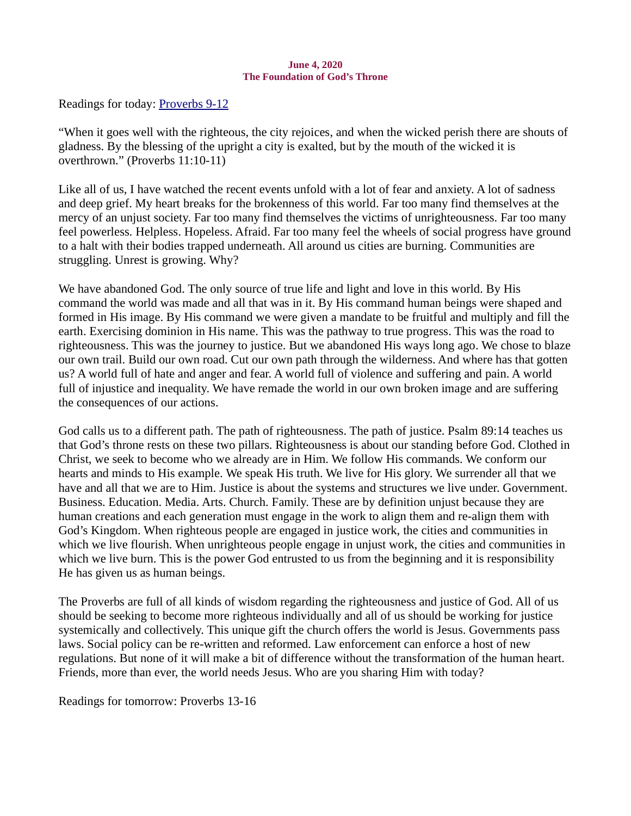#### June 4, 2020 The Foundation of God's Throne

<span id="page-4-0"></span>[Readings for today: Proverbs 9-12](https://www.biblegateway.com/passage/?search=Proverbs+9-12&version=ESV)

"When it goes well with the righteous, the city rejoices, and when the wicked perish there are shouts of gladness. By the blessing of the upright a city is exalted, but by the mouth of the wicked it is overthrown." (Proverbs 11:10-11)

Like all of us, I have watched the recent events unfold with a lot of fear and anxiety. A lot of sadness and deep grief. My heart breaks for the brokenness of this world. Far too many find themselves at the mercy of an unjust society. Far too many find themselves the victims of unrighteousness. Far too many feel powerless. Helpless. Hopeless. Afraid. Far too many feel the wheels of social progress have ground to a halt with their bodies trapped underneath. All around us cities are burning. Communities are struggling. Unrest is growing. Why?

We have abandoned God. The only source of true life and light and love in this world. By His command the world was made and all that was in it. By His command human beings were shaped and formed in His image. By His command we were given a mandate to be fruitful and multiply and fill the earth. Exercising dominion in His name. This was the pathway to true progress. This was the road to righteousness. This was the journey to justice. But we abandoned His ways long ago. We chose to blaze our own trail. Build our own road. Cut our own path through the wilderness. And where has that gotten us? A world full of hate and anger and fear. A world full of violence and suffering and pain. A world full of injustice and inequality. We have remade the world in our own broken image and are suffering the consequences of our actions.

God calls us to a different path. The path of righteousness. The path of justice. Psalm 89:14 teaches us that God's throne rests on these two pillars. Righteousness is about our standing before God. Clothed in Christ, we seek to become who we already are in Him. We follow His commands. We conform our hearts and minds to His example. We speak His truth. We live for His glory. We surrender all that we have and all that we are to Him. Justice is about the systems and structures we live under. Government. Business. Education. Media. Arts. Church. Family. These are by definition unjust because they are human creations and each generation must engage in the work to align them and re-align them with God's Kingdom. When righteous people are engaged in justice work, the cities and communities in which we live flourish. When unrighteous people engage in unjust work, the cities and communities in which we live burn. This is the power God entrusted to us from the beginning and it is responsibility He has given us as human beings.

The Proverbs are full of all kinds of wisdom regarding the righteousness and justice of God. All of us should be seeking to become more righteous individually and all of us should be working for justice systemically and collectively. This unique gift the church offers the world is Jesus. Governments pass laws. Social policy can be re-written and reformed. Law enforcement can enforce a host of new regulations. But none of it will make a bit of difference without the transformation of the human heart. Friends, more than ever, the world needs Jesus. Who are you sharing Him with today?

Readings for tomorrow: Proverbs 13-16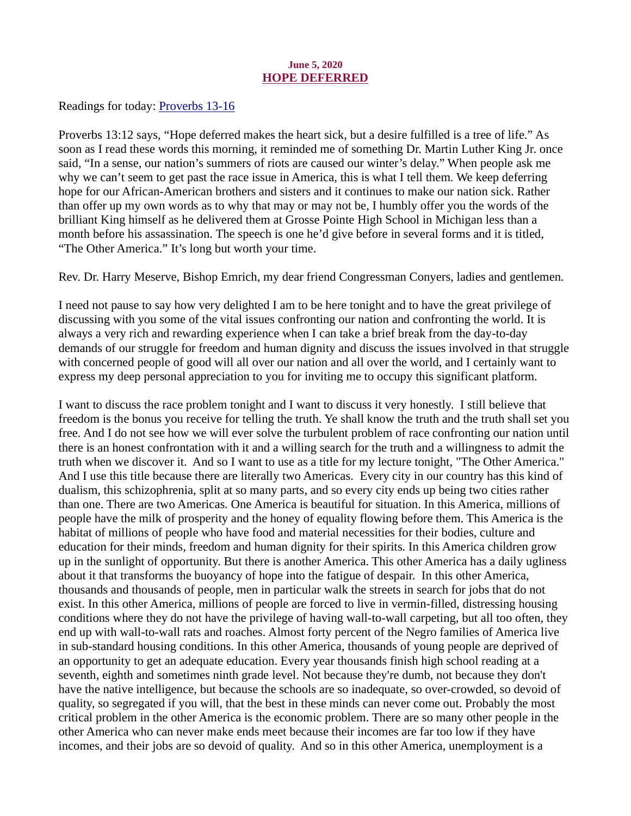#### June 5, 2020 HOPE DEFERRED

<span id="page-5-0"></span>Readings for today: **Proverbs 13-16** 

Proverbs 13:12 says, "Hope deferred makes the heart sick, but a desire fulfilled is a tree of life." As soon as I read these words this morning, it reminded me of something Dr. Martin Luther King Jr. once said, "In a sense, our nation's summers of riots are caused our winter's delay." When people ask me why we can't seem to get past the race issue in America, this is what I tell them. We keep deferring hope for our African-American brothers and sisters and it continues to make our nation sick. Rather than offer up my own words as to why that may or may not be, I humbly offer you the words of the brilliant King himself as he delivered them at Grosse Pointe High School in Michigan less than a month before his assassination. The speech is one he'd give before in several forms and it is titled, "The Other America." It's long but worth your time.

Rev. Dr. Harry Meserve, Bishop Emrich, my dear friend Congressman Conyers, ladies and gentlemen.

I need not pause to say how very delighted I am to be here tonight and to have the great privilege of discussing with you some of the vital issues confronting our nation and confronting the world. It is always a very rich and rewarding experience when I can take a brief break from the day-to-day demands of our struggle for freedom and human dignity and discuss the issues involved in that struggle with concerned people of good will all over our nation and all over the world, and I certainly want to express my deep personal appreciation to you for inviting me to occupy this significant platform.

I want to discuss the race problem tonight and I want to discuss it very honestly. I still believe that freedom is the bonus you receive for telling the truth. Ye shall know the truth and the truth shall set you free. And I do not see how we will ever solve the turbulent problem of race confronting our nation until there is an honest confrontation with it and a willing search for the truth and a willingness to admit the truth when we discover it. And so I want to use as a title for my lecture tonight, "The Other America." And I use this title because there are literally two Americas. Every city in our country has this kind of dualism, this schizophrenia, split at so many parts, and so every city ends up being two cities rather than one. There are two Americas. One America is beautiful for situation. In this America, millions of people have the milk of prosperity and the honey of equality flowing before them. This America is the habitat of millions of people who have food and material necessities for their bodies, culture and education for their minds, freedom and human dignity for their spirits. In this America children grow up in the sunlight of opportunity. But there is another America. This other America has a daily ugliness about it that transforms the buoyancy of hope into the fatigue of despair. In this other America, thousands and thousands of people, men in particular walk the streets in search for jobs that do not exist. In this other America, millions of people are forced to live in vermin-filled, distressing housing conditions where they do not have the privilege of having wall-to-wall carpeting, but all too often, they end up with wall-to-wall rats and roaches. Almost forty percent of the Negro families of America live in sub-standard housing conditions. In this other America, thousands of young people are deprived of an opportunity to get an adequate education. Every year thousands finish high school reading at a seventh, eighth and sometimes ninth grade level. Not because they're dumb, not because they don't have the native intelligence, but because the schools are so inadequate, so over-crowded, so devoid of quality, so segregated if you will, that the best in these minds can never come out. Probably the most critical problem in the other America is the economic problem. There are so many other people in the other America who can never make ends meet because their incomes are far too low if they have incomes, and their jobs are so devoid of quality. And so in this other America, unemployment is a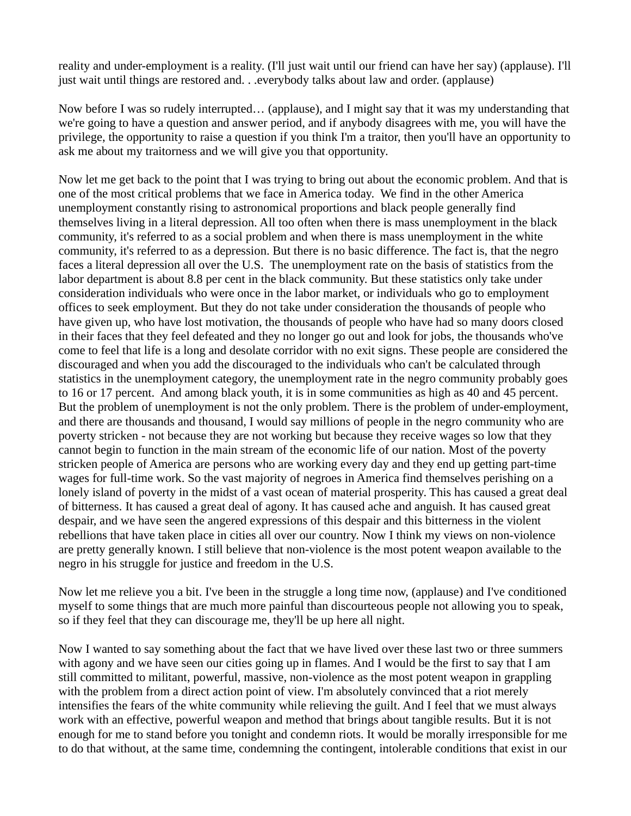reality and under-employment is a reality. (I'll just wait until our friend can have her say) (applause). I'll just wait until things are restored and. . .everybody talks about law and order. (applause)

Now before I was so rudely interrupted… (applause), and I might say that it was my understanding that we're going to have a question and answer period, and if anybody disagrees with me, you will have the privilege, the opportunity to raise a question if you think I'm a traitor, then you'll have an opportunity to ask me about my traitorness and we will give you that opportunity.

Now let me get back to the point that I was trying to bring out about the economic problem. And that is one of the most critical problems that we face in America today. We find in the other America unemployment constantly rising to astronomical proportions and black people generally find themselves living in a literal depression. All too often when there is mass unemployment in the black community, it's referred to as a social problem and when there is mass unemployment in the white community, it's referred to as a depression. But there is no basic difference. The fact is, that the negro faces a literal depression all over the U.S. The unemployment rate on the basis of statistics from the labor department is about 8.8 per cent in the black community. But these statistics only take under consideration individuals who were once in the labor market, or individuals who go to employment offices to seek employment. But they do not take under consideration the thousands of people who have given up, who have lost motivation, the thousands of people who have had so many doors closed in their faces that they feel defeated and they no longer go out and look for jobs, the thousands who've come to feel that life is a long and desolate corridor with no exit signs. These people are considered the discouraged and when you add the discouraged to the individuals who can't be calculated through statistics in the unemployment category, the unemployment rate in the negro community probably goes to 16 or 17 percent. And among black youth, it is in some communities as high as 40 and 45 percent. But the problem of unemployment is not the only problem. There is the problem of under-employment, and there are thousands and thousand, I would say millions of people in the negro community who are poverty stricken - not because they are not working but because they receive wages so low that they cannot begin to function in the main stream of the economic life of our nation. Most of the poverty stricken people of America are persons who are working every day and they end up getting part-time wages for full-time work. So the vast majority of negroes in America find themselves perishing on a lonely island of poverty in the midst of a vast ocean of material prosperity. This has caused a great deal of bitterness. It has caused a great deal of agony. It has caused ache and anguish. It has caused great despair, and we have seen the angered expressions of this despair and this bitterness in the violent rebellions that have taken place in cities all over our country. Now I think my views on non-violence are pretty generally known. I still believe that non-violence is the most potent weapon available to the negro in his struggle for justice and freedom in the U.S.

Now let me relieve you a bit. I've been in the struggle a long time now, (applause) and I've conditioned myself to some things that are much more painful than discourteous people not allowing you to speak, so if they feel that they can discourage me, they'll be up here all night.

Now I wanted to say something about the fact that we have lived over these last two or three summers with agony and we have seen our cities going up in flames. And I would be the first to say that I am still committed to militant, powerful, massive, non-violence as the most potent weapon in grappling with the problem from a direct action point of view. I'm absolutely convinced that a riot merely intensifies the fears of the white community while relieving the guilt. And I feel that we must always work with an effective, powerful weapon and method that brings about tangible results. But it is not enough for me to stand before you tonight and condemn riots. It would be morally irresponsible for me to do that without, at the same time, condemning the contingent, intolerable conditions that exist in our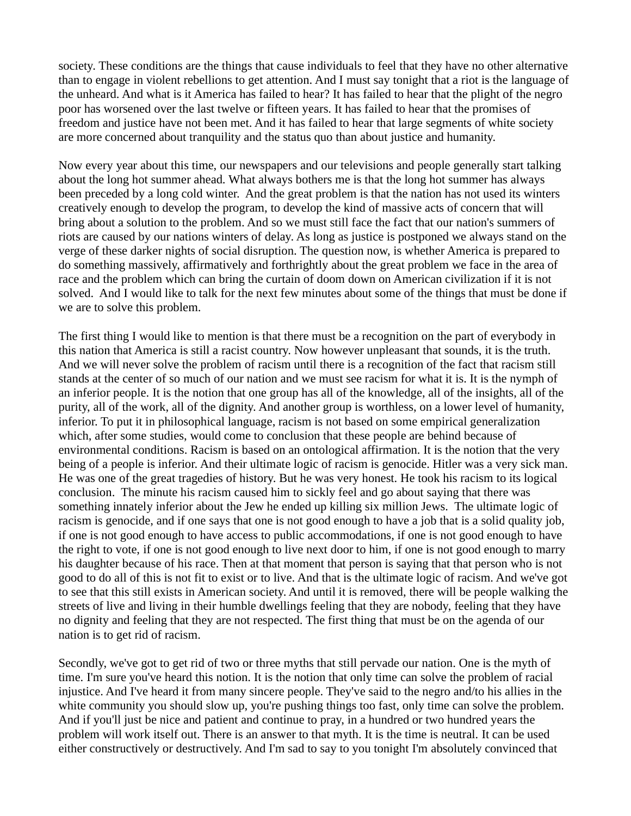society. These conditions are the things that cause individuals to feel that they have no other alternative than to engage in violent rebellions to get attention. And I must say tonight that a riot is the language of the unheard. And what is it America has failed to hear? It has failed to hear that the plight of the negro poor has worsened over the last twelve or fifteen years. It has failed to hear that the promises of freedom and justice have not been met. And it has failed to hear that large segments of white society are more concerned about tranquility and the status quo than about justice and humanity.

Now every year about this time, our newspapers and our televisions and people generally start talking about the long hot summer ahead. What always bothers me is that the long hot summer has always been preceded by a long cold winter. And the great problem is that the nation has not used its winters creatively enough to develop the program, to develop the kind of massive acts of concern that will bring about a solution to the problem. And so we must still face the fact that our nation's summers of riots are caused by our nations winters of delay. As long as justice is postponed we always stand on the verge of these darker nights of social disruption. The question now, is whether America is prepared to do something massively, affirmatively and forthrightly about the great problem we face in the area of race and the problem which can bring the curtain of doom down on American civilization if it is not solved. And I would like to talk for the next few minutes about some of the things that must be done if we are to solve this problem.

The first thing I would like to mention is that there must be a recognition on the part of everybody in this nation that America is still a racist country. Now however unpleasant that sounds, it is the truth. And we will never solve the problem of racism until there is a recognition of the fact that racism still stands at the center of so much of our nation and we must see racism for what it is. It is the nymph of an inferior people. It is the notion that one group has all of the knowledge, all of the insights, all of the purity, all of the work, all of the dignity. And another group is worthless, on a lower level of humanity, inferior. To put it in philosophical language, racism is not based on some empirical generalization which, after some studies, would come to conclusion that these people are behind because of environmental conditions. Racism is based on an ontological affirmation. It is the notion that the very being of a people is inferior. And their ultimate logic of racism is genocide. Hitler was a very sick man. He was one of the great tragedies of history. But he was very honest. He took his racism to its logical conclusion. The minute his racism caused him to sickly feel and go about saying that there was something innately inferior about the Jew he ended up killing six million Jews. The ultimate logic of racism is genocide, and if one says that one is not good enough to have a job that is a solid quality job, if one is not good enough to have access to public accommodations, if one is not good enough to have the right to vote, if one is not good enough to live next door to him, if one is not good enough to marry his daughter because of his race. Then at that moment that person is saying that that person who is not good to do all of this is not fit to exist or to live. And that is the ultimate logic of racism. And we've got to see that this still exists in American society. And until it is removed, there will be people walking the streets of live and living in their humble dwellings feeling that they are nobody, feeling that they have no dignity and feeling that they are not respected. The first thing that must be on the agenda of our nation is to get rid of racism.

Secondly, we've got to get rid of two or three myths that still pervade our nation. One is the myth of time. I'm sure you've heard this notion. It is the notion that only time can solve the problem of racial injustice. And I've heard it from many sincere people. They've said to the negro and/to his allies in the white community you should slow up, you're pushing things too fast, only time can solve the problem. And if you'll just be nice and patient and continue to pray, in a hundred or two hundred years the problem will work itself out. There is an answer to that myth. It is the time is neutral. It can be used either constructively or destructively. And I'm sad to say to you tonight I'm absolutely convinced that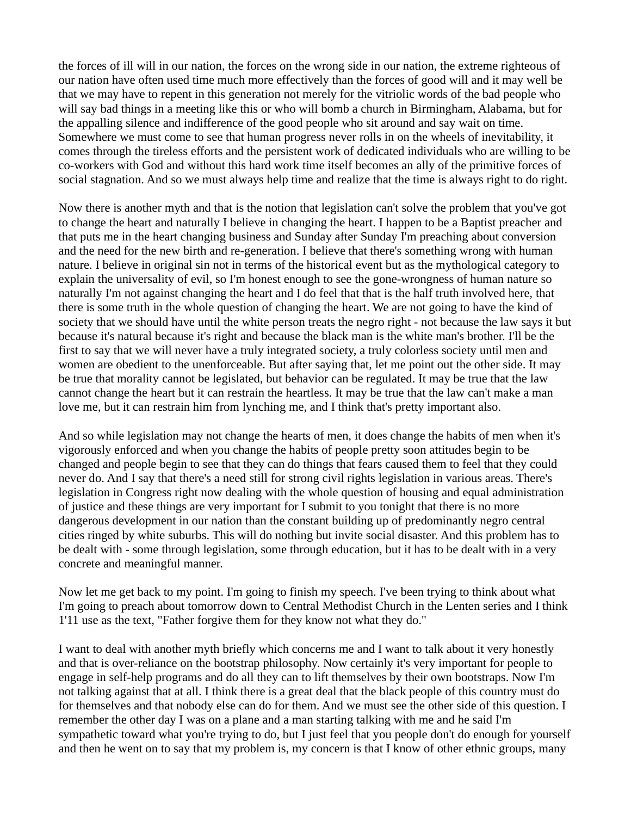the forces of ill will in our nation, the forces on the wrong side in our nation, the extreme righteous of our nation have often used time much more effectively than the forces of good will and it may well be that we may have to repent in this generation not merely for the vitriolic words of the bad people who will say bad things in a meeting like this or who will bomb a church in Birmingham, Alabama, but for the appalling silence and indifference of the good people who sit around and say wait on time. Somewhere we must come to see that human progress never rolls in on the wheels of inevitability, it comes through the tireless efforts and the persistent work of dedicated individuals who are willing to be co-workers with God and without this hard work time itself becomes an ally of the primitive forces of social stagnation. And so we must always help time and realize that the time is always right to do right.

Now there is another myth and that is the notion that legislation can't solve the problem that you've got to change the heart and naturally I believe in changing the heart. I happen to be a Baptist preacher and that puts me in the heart changing business and Sunday after Sunday I'm preaching about conversion and the need for the new birth and re-generation. I believe that there's something wrong with human nature. I believe in original sin not in terms of the historical event but as the mythological category to explain the universality of evil, so I'm honest enough to see the gone-wrongness of human nature so naturally I'm not against changing the heart and I do feel that that is the half truth involved here, that there is some truth in the whole question of changing the heart. We are not going to have the kind of society that we should have until the white person treats the negro right - not because the law says it but because it's natural because it's right and because the black man is the white man's brother. I'll be the first to say that we will never have a truly integrated society, a truly colorless society until men and women are obedient to the unenforceable. But after saying that, let me point out the other side. It may be true that morality cannot be legislated, but behavior can be regulated. It may be true that the law cannot change the heart but it can restrain the heartless. It may be true that the law can't make a man love me, but it can restrain him from lynching me, and I think that's pretty important also.

And so while legislation may not change the hearts of men, it does change the habits of men when it's vigorously enforced and when you change the habits of people pretty soon attitudes begin to be changed and people begin to see that they can do things that fears caused them to feel that they could never do. And I say that there's a need still for strong civil rights legislation in various areas. There's legislation in Congress right now dealing with the whole question of housing and equal administration of justice and these things are very important for I submit to you tonight that there is no more dangerous development in our nation than the constant building up of predominantly negro central cities ringed by white suburbs. This will do nothing but invite social disaster. And this problem has to be dealt with - some through legislation, some through education, but it has to be dealt with in a very concrete and meaningful manner.

Now let me get back to my point. I'm going to finish my speech. I've been trying to think about what I'm going to preach about tomorrow down to Central Methodist Church in the Lenten series and I think 1'11 use as the text, "Father forgive them for they know not what they do."

I want to deal with another myth briefly which concerns me and I want to talk about it very honestly and that is over-reliance on the bootstrap philosophy. Now certainly it's very important for people to engage in self-help programs and do all they can to lift themselves by their own bootstraps. Now I'm not talking against that at all. I think there is a great deal that the black people of this country must do for themselves and that nobody else can do for them. And we must see the other side of this question. I remember the other day I was on a plane and a man starting talking with me and he said I'm sympathetic toward what you're trying to do, but I just feel that you people don't do enough for yourself and then he went on to say that my problem is, my concern is that I know of other ethnic groups, many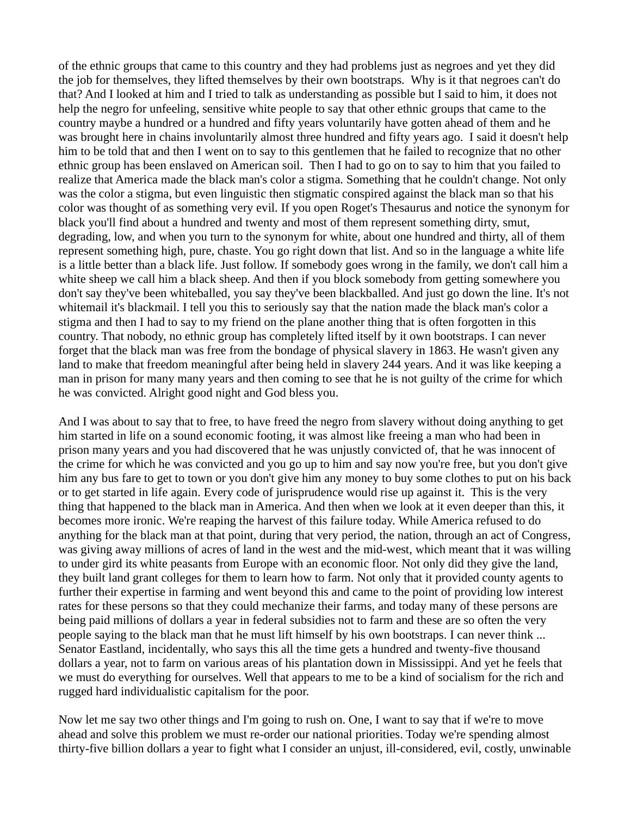of the ethnic groups that came to this country and they had problems just as negroes and yet they did the job for themselves, they lifted themselves by their own bootstraps. Why is it that negroes can't do that? And I looked at him and I tried to talk as understanding as possible but I said to him, it does not help the negro for unfeeling, sensitive white people to say that other ethnic groups that came to the country maybe a hundred or a hundred and fifty years voluntarily have gotten ahead of them and he was brought here in chains involuntarily almost three hundred and fifty years ago. I said it doesn't help him to be told that and then I went on to say to this gentlemen that he failed to recognize that no other ethnic group has been enslaved on American soil. Then I had to go on to say to him that you failed to realize that America made the black man's color a stigma. Something that he couldn't change. Not only was the color a stigma, but even linguistic then stigmatic conspired against the black man so that his color was thought of as something very evil. If you open Roget's Thesaurus and notice the synonym for black you'll find about a hundred and twenty and most of them represent something dirty, smut, degrading, low, and when you turn to the synonym for white, about one hundred and thirty, all of them represent something high, pure, chaste. You go right down that list. And so in the language a white life is a little better than a black life. Just follow. If somebody goes wrong in the family, we don't call him a white sheep we call him a black sheep. And then if you block somebody from getting somewhere you don't say they've been whiteballed, you say they've been blackballed. And just go down the line. It's not whitemail it's blackmail. I tell you this to seriously say that the nation made the black man's color a stigma and then I had to say to my friend on the plane another thing that is often forgotten in this country. That nobody, no ethnic group has completely lifted itself by it own bootstraps. I can never forget that the black man was free from the bondage of physical slavery in 1863. He wasn't given any land to make that freedom meaningful after being held in slavery 244 years. And it was like keeping a man in prison for many many years and then coming to see that he is not guilty of the crime for which he was convicted. Alright good night and God bless you.

And I was about to say that to free, to have freed the negro from slavery without doing anything to get him started in life on a sound economic footing, it was almost like freeing a man who had been in prison many years and you had discovered that he was unjustly convicted of, that he was innocent of the crime for which he was convicted and you go up to him and say now you're free, but you don't give him any bus fare to get to town or you don't give him any money to buy some clothes to put on his back or to get started in life again. Every code of jurisprudence would rise up against it. This is the very thing that happened to the black man in America. And then when we look at it even deeper than this, it becomes more ironic. We're reaping the harvest of this failure today. While America refused to do anything for the black man at that point, during that very period, the nation, through an act of Congress, was giving away millions of acres of land in the west and the mid-west, which meant that it was willing to under gird its white peasants from Europe with an economic floor. Not only did they give the land, they built land grant colleges for them to learn how to farm. Not only that it provided county agents to further their expertise in farming and went beyond this and came to the point of providing low interest rates for these persons so that they could mechanize their farms, and today many of these persons are being paid millions of dollars a year in federal subsidies not to farm and these are so often the very people saying to the black man that he must lift himself by his own bootstraps. I can never think ... Senator Eastland, incidentally, who says this all the time gets a hundred and twenty-five thousand dollars a year, not to farm on various areas of his plantation down in Mississippi. And yet he feels that we must do everything for ourselves. Well that appears to me to be a kind of socialism for the rich and rugged hard individualistic capitalism for the poor.

Now let me say two other things and I'm going to rush on. One, I want to say that if we're to move ahead and solve this problem we must re-order our national priorities. Today we're spending almost thirty-five billion dollars a year to fight what I consider an unjust, ill-considered, evil, costly, unwinable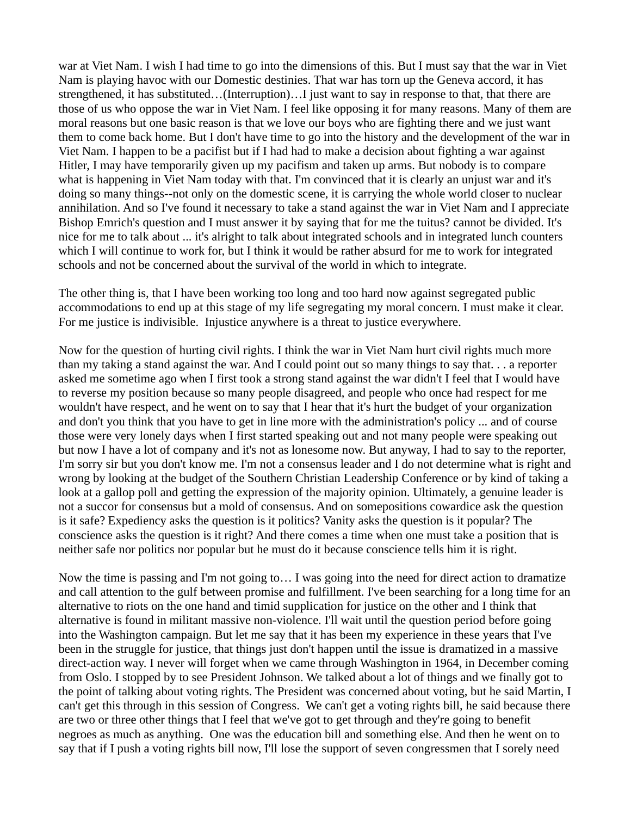war at Viet Nam. I wish I had time to go into the dimensions of this. But I must say that the war in Viet Nam is playing havoc with our Domestic destinies. That war has torn up the Geneva accord, it has strengthened, it has substituted…(Interruption)…I just want to say in response to that, that there are those of us who oppose the war in Viet Nam. I feel like opposing it for many reasons. Many of them are moral reasons but one basic reason is that we love our boys who are fighting there and we just want them to come back home. But I don't have time to go into the history and the development of the war in Viet Nam. I happen to be a pacifist but if I had had to make a decision about fighting a war against Hitler, I may have temporarily given up my pacifism and taken up arms. But nobody is to compare what is happening in Viet Nam today with that. I'm convinced that it is clearly an unjust war and it's doing so many things--not only on the domestic scene, it is carrying the whole world closer to nuclear annihilation. And so I've found it necessary to take a stand against the war in Viet Nam and I appreciate Bishop Emrich's question and I must answer it by saying that for me the tuitus? cannot be divided. It's nice for me to talk about ... it's alright to talk about integrated schools and in integrated lunch counters which I will continue to work for, but I think it would be rather absurd for me to work for integrated schools and not be concerned about the survival of the world in which to integrate.

The other thing is, that I have been working too long and too hard now against segregated public accommodations to end up at this stage of my life segregating my moral concern. I must make it clear. For me justice is indivisible. Injustice anywhere is a threat to justice everywhere.

Now for the question of hurting civil rights. I think the war in Viet Nam hurt civil rights much more than my taking a stand against the war. And I could point out so many things to say that. . . a reporter asked me sometime ago when I first took a strong stand against the war didn't I feel that I would have to reverse my position because so many people disagreed, and people who once had respect for me wouldn't have respect, and he went on to say that I hear that it's hurt the budget of your organization and don't you think that you have to get in line more with the administration's policy ... and of course those were very lonely days when I first started speaking out and not many people were speaking out but now I have a lot of company and it's not as lonesome now. But anyway, I had to say to the reporter, I'm sorry sir but you don't know me. I'm not a consensus leader and I do not determine what is right and wrong by looking at the budget of the Southern Christian Leadership Conference or by kind of taking a look at a gallop poll and getting the expression of the majority opinion. Ultimately, a genuine leader is not a succor for consensus but a mold of consensus. And on somepositions cowardice ask the question is it safe? Expediency asks the question is it politics? Vanity asks the question is it popular? The conscience asks the question is it right? And there comes a time when one must take a position that is neither safe nor politics nor popular but he must do it because conscience tells him it is right.

Now the time is passing and I'm not going to… I was going into the need for direct action to dramatize and call attention to the gulf between promise and fulfillment. I've been searching for a long time for an alternative to riots on the one hand and timid supplication for justice on the other and I think that alternative is found in militant massive non-violence. I'll wait until the question period before going into the Washington campaign. But let me say that it has been my experience in these years that I've been in the struggle for justice, that things just don't happen until the issue is dramatized in a massive direct-action way. I never will forget when we came through Washington in 1964, in December coming from Oslo. I stopped by to see President Johnson. We talked about a lot of things and we finally got to the point of talking about voting rights. The President was concerned about voting, but he said Martin, I can't get this through in this session of Congress. We can't get a voting rights bill, he said because there are two or three other things that I feel that we've got to get through and they're going to benefit negroes as much as anything. One was the education bill and something else. And then he went on to say that if I push a voting rights bill now, I'll lose the support of seven congressmen that I sorely need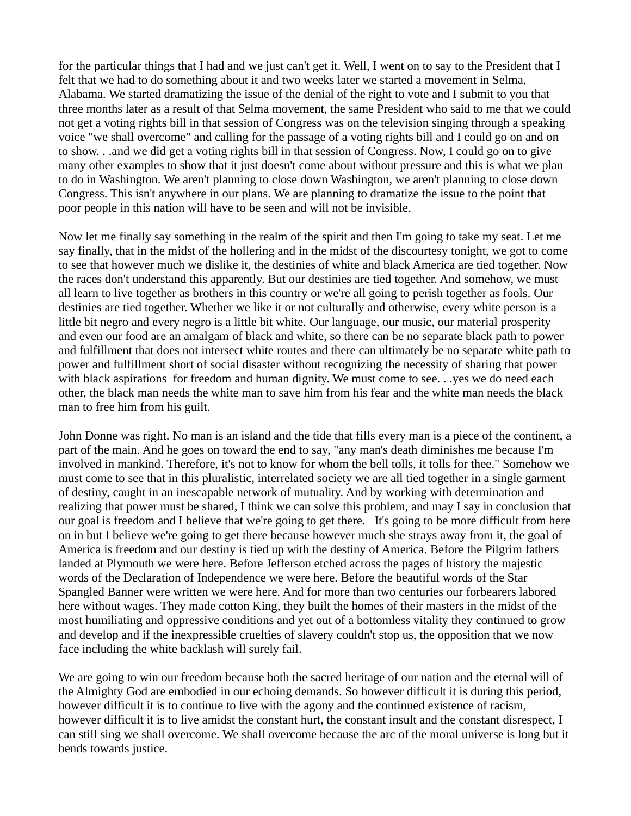for the particular things that I had and we just can't get it. Well, I went on to say to the President that I felt that we had to do something about it and two weeks later we started a movement in Selma, Alabama. We started dramatizing the issue of the denial of the right to vote and I submit to you that three months later as a result of that Selma movement, the same President who said to me that we could not get a voting rights bill in that session of Congress was on the television singing through a speaking voice "we shall overcome" and calling for the passage of a voting rights bill and I could go on and on to show. . .and we did get a voting rights bill in that session of Congress. Now, I could go on to give many other examples to show that it just doesn't come about without pressure and this is what we plan to do in Washington. We aren't planning to close down Washington, we aren't planning to close down Congress. This isn't anywhere in our plans. We are planning to dramatize the issue to the point that poor people in this nation will have to be seen and will not be invisible.

Now let me finally say something in the realm of the spirit and then I'm going to take my seat. Let me say finally, that in the midst of the hollering and in the midst of the discourtesy tonight, we got to come to see that however much we dislike it, the destinies of white and black America are tied together. Now the races don't understand this apparently. But our destinies are tied together. And somehow, we must all learn to live together as brothers in this country or we're all going to perish together as fools. Our destinies are tied together. Whether we like it or not culturally and otherwise, every white person is a little bit negro and every negro is a little bit white. Our language, our music, our material prosperity and even our food are an amalgam of black and white, so there can be no separate black path to power and fulfillment that does not intersect white routes and there can ultimately be no separate white path to power and fulfillment short of social disaster without recognizing the necessity of sharing that power with black aspirations for freedom and human dignity. We must come to see. . .yes we do need each other, the black man needs the white man to save him from his fear and the white man needs the black man to free him from his guilt.

John Donne was right. No man is an island and the tide that fills every man is a piece of the continent, a part of the main. And he goes on toward the end to say, "any man's death diminishes me because I'm involved in mankind. Therefore, it's not to know for whom the bell tolls, it tolls for thee." Somehow we must come to see that in this pluralistic, interrelated society we are all tied together in a single garment of destiny, caught in an inescapable network of mutuality. And by working with determination and realizing that power must be shared, I think we can solve this problem, and may I say in conclusion that our goal is freedom and I believe that we're going to get there. It's going to be more difficult from here on in but I believe we're going to get there because however much she strays away from it, the goal of America is freedom and our destiny is tied up with the destiny of America. Before the Pilgrim fathers landed at Plymouth we were here. Before Jefferson etched across the pages of history the majestic words of the Declaration of Independence we were here. Before the beautiful words of the Star Spangled Banner were written we were here. And for more than two centuries our forbearers labored here without wages. They made cotton King, they built the homes of their masters in the midst of the most humiliating and oppressive conditions and yet out of a bottomless vitality they continued to grow and develop and if the inexpressible cruelties of slavery couldn't stop us, the opposition that we now face including the white backlash will surely fail.

We are going to win our freedom because both the sacred heritage of our nation and the eternal will of the Almighty God are embodied in our echoing demands. So however difficult it is during this period, however difficult it is to continue to live with the agony and the continued existence of racism, however difficult it is to live amidst the constant hurt, the constant insult and the constant disrespect, I can still sing we shall overcome. We shall overcome because the arc of the moral universe is long but it bends towards justice.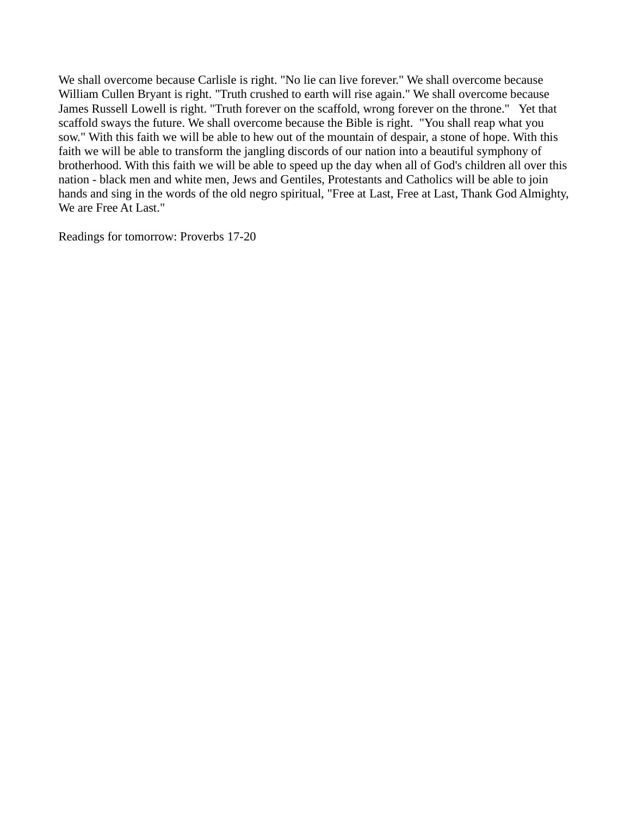We shall overcome because Carlisle is right. "No lie can live forever." We shall overcome because William Cullen Bryant is right. "Truth crushed to earth will rise again." We shall overcome because James Russell Lowell is right. "Truth forever on the scaffold, wrong forever on the throne." Yet that scaffold sways the future. We shall overcome because the Bible is right. "You shall reap what you sow." With this faith we will be able to hew out of the mountain of despair, a stone of hope. With this faith we will be able to transform the jangling discords of our nation into a beautiful symphony of brotherhood. With this faith we will be able to speed up the day when all of God's children all over this nation - black men and white men, Jews and Gentiles, Protestants and Catholics will be able to join hands and sing in the words of the old negro spiritual, "Free at Last, Free at Last, Thank God Almighty, We are Free At Last."

Readings for tomorrow: Proverbs 17-20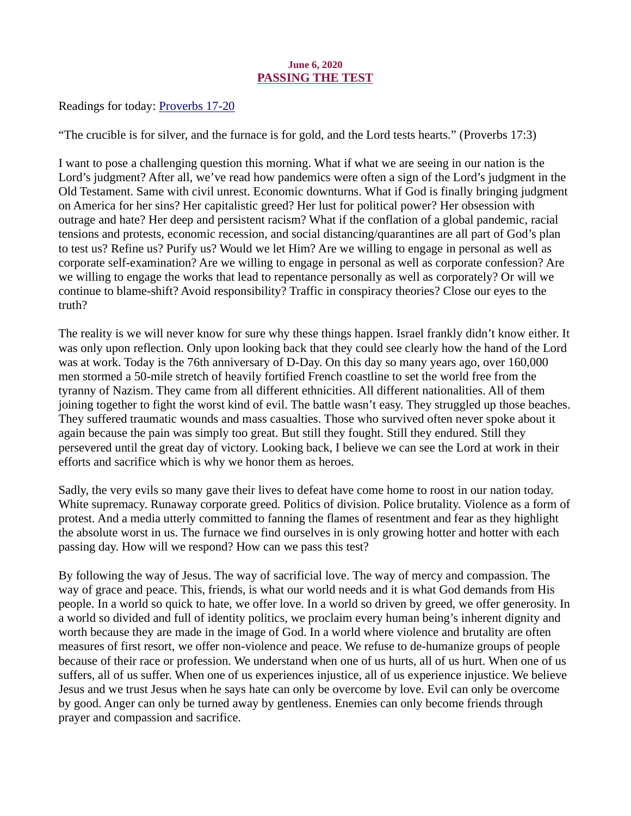## June 6, 2020 PASSING THE TEST

<span id="page-13-0"></span>Readings for today: **Proverbs** 17-20

"The crucible is for silver, and the furnace is for gold, and the Lord tests hearts." (Proverbs 17:3)

I want to pose a challenging question this morning. What if what we are seeing in our nation is the Lord's judgment? After all, we've read how pandemics were often a sign of the Lord's judgment in the Old Testament. Same with civil unrest. Economic downturns. What if God is finally bringing judgment on America for her sins? Her capitalistic greed? Her lust for political power? Her obsession with outrage and hate? Her deep and persistent racism? What if the conflation of a global pandemic, racial tensions and protests, economic recession, and social distancing/quarantines are all part of God's plan to test us? Refine us? Purify us? Would we let Him? Are we willing to engage in personal as well as corporate self-examination? Are we willing to engage in personal as well as corporate confession? Are we willing to engage the works that lead to repentance personally as well as corporately? Or will we continue to blame-shift? Avoid responsibility? Traffic in conspiracy theories? Close our eyes to the truth?

The reality is we will never know for sure why these things happen. Israel frankly didn't know either. It was only upon reflection. Only upon looking back that they could see clearly how the hand of the Lord was at work. Today is the 76th anniversary of D-Day. On this day so many years ago, over 160,000 men stormed a 50-mile stretch of heavily fortified French coastline to set the world free from the tyranny of Nazism. They came from all different ethnicities. All different nationalities. All of them joining together to fight the worst kind of evil. The battle wasn't easy. They struggled up those beaches. They suffered traumatic wounds and mass casualties. Those who survived often never spoke about it again because the pain was simply too great. But still they fought. Still they endured. Still they persevered until the great day of victory. Looking back, I believe we can see the Lord at work in their efforts and sacrifice which is why we honor them as heroes.

Sadly, the very evils so many gave their lives to defeat have come home to roost in our nation today. White supremacy. Runaway corporate greed. Politics of division. Police brutality. Violence as a form of protest. And a media utterly committed to fanning the flames of resentment and fear as they highlight the absolute worst in us. The furnace we find ourselves in is only growing hotter and hotter with each passing day. How will we respond? How can we pass this test?

By following the way of Jesus. The way of sacrificial love. The way of mercy and compassion. The way of grace and peace. This, friends, is what our world needs and it is what God demands from His people. In a world so quick to hate, we offer love. In a world so driven by greed, we offer generosity. In a world so divided and full of identity politics, we proclaim every human being's inherent dignity and worth because they are made in the image of God. In a world where violence and brutality are often measures of first resort, we offer non-violence and peace. We refuse to de-humanize groups of people because of their race or profession. We understand when one of us hurts, all of us hurt. When one of us suffers, all of us suffer. When one of us experiences injustice, all of us experience injustice. We believe Jesus and we trust Jesus when he says hate can only be overcome by love. Evil can only be overcome by good. Anger can only be turned away by gentleness. Enemies can only become friends through prayer and compassion and sacrifice.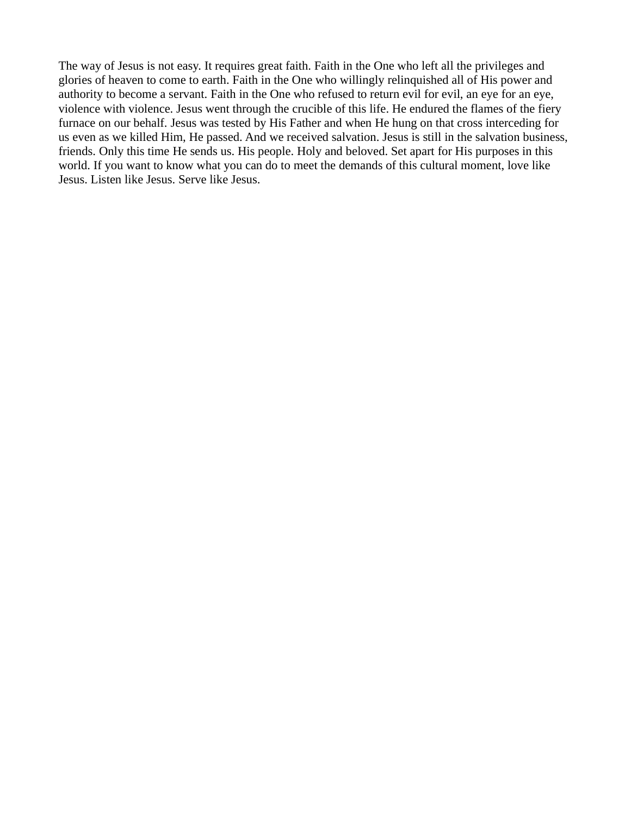The way of Jesus is not easy. It requires great faith. Faith in the One who left all the privileges and glories of heaven to come to earth. Faith in the One who willingly relinquished all of His power and authority to become a servant. Faith in the One who refused to return evil for evil, an eye for an eye, violence with violence. Jesus went through the crucible of this life. He endured the flames of the fiery furnace on our behalf. Jesus was tested by His Father and when He hung on that cross interceding for us even as we killed Him, He passed. And we received salvation. Jesus is still in the salvation business, friends. Only this time He sends us. His people. Holy and beloved. Set apart for His purposes in this world. If you want to know what you can do to meet the demands of this cultural moment, love like Jesus. Listen like Jesus. Serve like Jesus.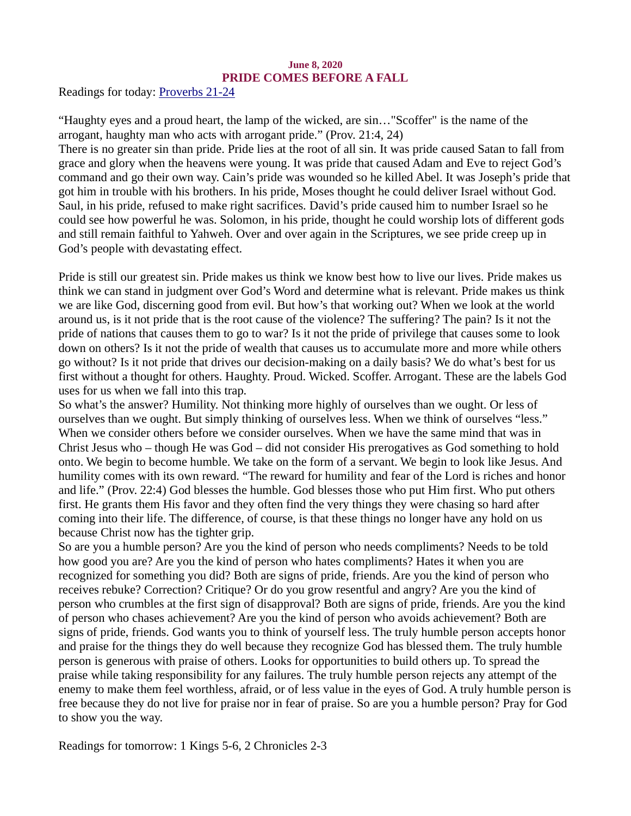## June 8, 2020 PRIDE COMES BEFORE A FALL

<span id="page-15-0"></span>[Readings for today: Proverbs 21-24](https://www.biblegateway.com/passage/?search=Proverbs+21-24&version=ESV)

"Haughty eyes and a proud heart, the lamp of the wicked, are sin…"Scoffer" is the name of the arrogant, haughty man who acts with arrogant pride." (Prov. 21:4, 24)

There is no greater sin than pride. Pride lies at the root of all sin. It was pride caused Satan to fall from grace and glory when the heavens were young. It was pride that caused Adam and Eve to reject God's command and go their own way. Cain's pride was wounded so he killed Abel. It was Joseph's pride that got him in trouble with his brothers. In his pride, Moses thought he could deliver Israel without God. Saul, in his pride, refused to make right sacrifices. David's pride caused him to number Israel so he could see how powerful he was. Solomon, in his pride, thought he could worship lots of different gods and still remain faithful to Yahweh. Over and over again in the Scriptures, we see pride creep up in God's people with devastating effect.

Pride is still our greatest sin. Pride makes us think we know best how to live our lives. Pride makes us think we can stand in judgment over God's Word and determine what is relevant. Pride makes us think we are like God, discerning good from evil. But how's that working out? When we look at the world around us, is it not pride that is the root cause of the violence? The suffering? The pain? Is it not the pride of nations that causes them to go to war? Is it not the pride of privilege that causes some to look down on others? Is it not the pride of wealth that causes us to accumulate more and more while others go without? Is it not pride that drives our decision-making on a daily basis? We do what's best for us first without a thought for others. Haughty. Proud. Wicked. Scoffer. Arrogant. These are the labels God uses for us when we fall into this trap.

So what's the answer? Humility. Not thinking more highly of ourselves than we ought. Or less of ourselves than we ought. But simply thinking of ourselves less. When we think of ourselves "less." When we consider others before we consider ourselves. When we have the same mind that was in Christ Jesus who – though He was God – did not consider His prerogatives as God something to hold onto. We begin to become humble. We take on the form of a servant. We begin to look like Jesus. And humility comes with its own reward. "The reward for humility and fear of the Lord is riches and honor and life." (Prov. 22:4) God blesses the humble. God blesses those who put Him first. Who put others first. He grants them His favor and they often find the very things they were chasing so hard after coming into their life. The difference, of course, is that these things no longer have any hold on us because Christ now has the tighter grip.

So are you a humble person? Are you the kind of person who needs compliments? Needs to be told how good you are? Are you the kind of person who hates compliments? Hates it when you are recognized for something you did? Both are signs of pride, friends. Are you the kind of person who receives rebuke? Correction? Critique? Or do you grow resentful and angry? Are you the kind of person who crumbles at the first sign of disapproval? Both are signs of pride, friends. Are you the kind of person who chases achievement? Are you the kind of person who avoids achievement? Both are signs of pride, friends. God wants you to think of yourself less. The truly humble person accepts honor and praise for the things they do well because they recognize God has blessed them. The truly humble person is generous with praise of others. Looks for opportunities to build others up. To spread the praise while taking responsibility for any failures. The truly humble person rejects any attempt of the enemy to make them feel worthless, afraid, or of less value in the eyes of God. A truly humble person is free because they do not live for praise nor in fear of praise. So are you a humble person? Pray for God to show you the way.

Readings for tomorrow: 1 Kings 5-6, 2 Chronicles 2-3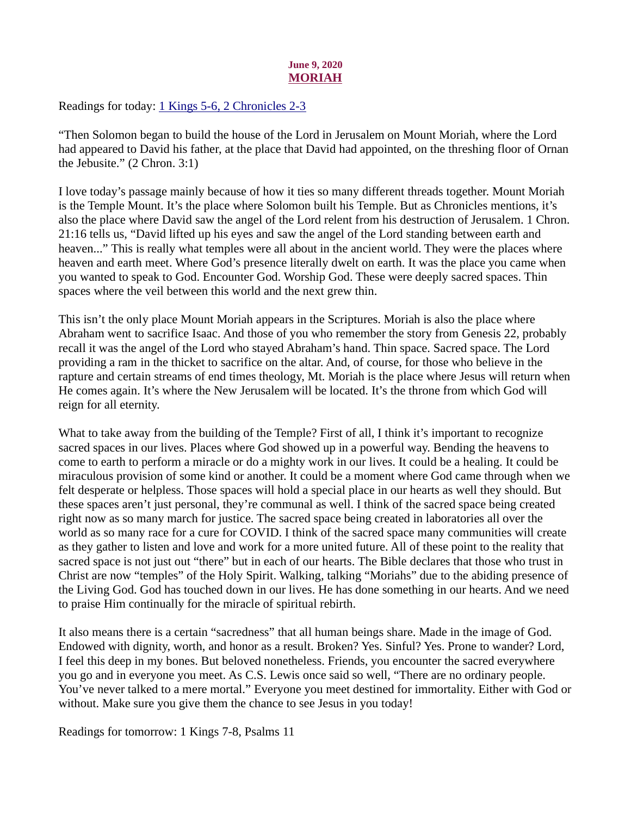## June 9, 2020 MORIAH

<span id="page-16-0"></span>[Readings for today: 1 Kings 5-6, 2 Chronicles 2-3](https://www.biblegateway.com/passage/?search=1+Kings+5-6%2C+2+Chronicles+2-3&version=ESV)

"Then Solomon began to build the house of the Lord in Jerusalem on Mount Moriah, where the Lord had appeared to David his father, at the place that David had appointed, on the threshing floor of Ornan the Jebusite." (2 Chron. 3:1)

I love today's passage mainly because of how it ties so many different threads together. Mount Moriah is the Temple Mount. It's the place where Solomon built his Temple. But as Chronicles mentions, it's also the place where David saw the angel of the Lord relent from his destruction of Jerusalem. 1 Chron. 21:16 tells us, "David lifted up his eyes and saw the angel of the Lord standing between earth and heaven..." This is really what temples were all about in the ancient world. They were the places where heaven and earth meet. Where God's presence literally dwelt on earth. It was the place you came when you wanted to speak to God. Encounter God. Worship God. These were deeply sacred spaces. Thin spaces where the veil between this world and the next grew thin.

This isn't the only place Mount Moriah appears in the Scriptures. Moriah is also the place where Abraham went to sacrifice Isaac. And those of you who remember the story from Genesis 22, probably recall it was the angel of the Lord who stayed Abraham's hand. Thin space. Sacred space. The Lord providing a ram in the thicket to sacrifice on the altar. And, of course, for those who believe in the rapture and certain streams of end times theology, Mt. Moriah is the place where Jesus will return when He comes again. It's where the New Jerusalem will be located. It's the throne from which God will reign for all eternity.

What to take away from the building of the Temple? First of all, I think it's important to recognize sacred spaces in our lives. Places where God showed up in a powerful way. Bending the heavens to come to earth to perform a miracle or do a mighty work in our lives. It could be a healing. It could be miraculous provision of some kind or another. It could be a moment where God came through when we felt desperate or helpless. Those spaces will hold a special place in our hearts as well they should. But these spaces aren't just personal, they're communal as well. I think of the sacred space being created right now as so many march for justice. The sacred space being created in laboratories all over the world as so many race for a cure for COVID. I think of the sacred space many communities will create as they gather to listen and love and work for a more united future. All of these point to the reality that sacred space is not just out "there" but in each of our hearts. The Bible declares that those who trust in Christ are now "temples" of the Holy Spirit. Walking, talking "Moriahs" due to the abiding presence of the Living God. God has touched down in our lives. He has done something in our hearts. And we need to praise Him continually for the miracle of spiritual rebirth.

It also means there is a certain "sacredness" that all human beings share. Made in the image of God. Endowed with dignity, worth, and honor as a result. Broken? Yes. Sinful? Yes. Prone to wander? Lord, I feel this deep in my bones. But beloved nonetheless. Friends, you encounter the sacred everywhere you go and in everyone you meet. As C.S. Lewis once said so well, "There are no ordinary people. You've never talked to a mere mortal." Everyone you meet destined for immortality. Either with God or without. Make sure you give them the chance to see Jesus in you today!

Readings for tomorrow: 1 Kings 7-8, Psalms 11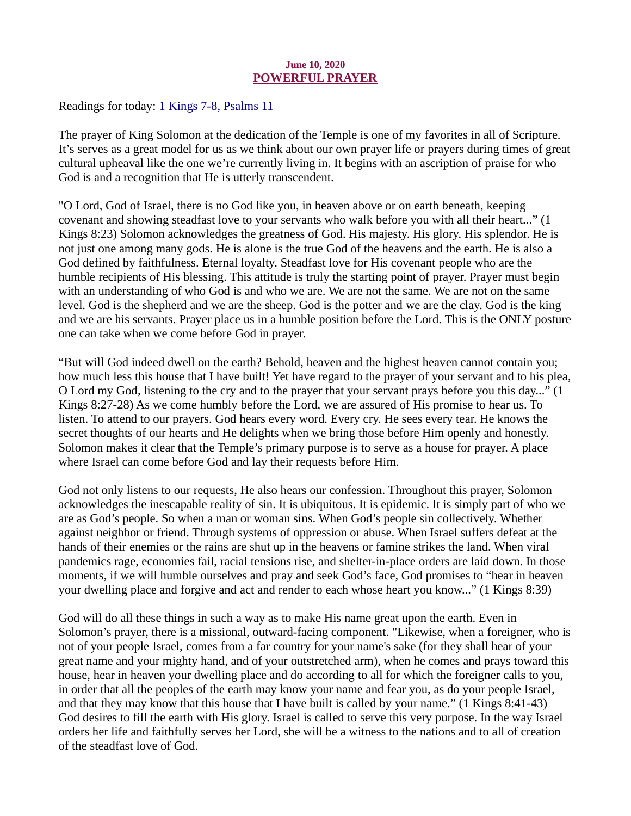## June 10, 2020 POWERFUL PRAYER

<span id="page-17-0"></span>[Readings for today: 1 Kings 7-8, Psalms 11](https://www.biblegateway.com/passage/?search=1+Kings+7-8%2C+Psalms+11&version=ESV)

The prayer of King Solomon at the dedication of the Temple is one of my favorites in all of Scripture. It's serves as a great model for us as we think about our own prayer life or prayers during times of great cultural upheaval like the one we're currently living in. It begins with an ascription of praise for who God is and a recognition that He is utterly transcendent.

"O Lord, God of Israel, there is no God like you, in heaven above or on earth beneath, keeping covenant and showing steadfast love to your servants who walk before you with all their heart..." (1 Kings 8:23) Solomon acknowledges the greatness of God. His majesty. His glory. His splendor. He is not just one among many gods. He is alone is the true God of the heavens and the earth. He is also a God defined by faithfulness. Eternal loyalty. Steadfast love for His covenant people who are the humble recipients of His blessing. This attitude is truly the starting point of prayer. Prayer must begin with an understanding of who God is and who we are. We are not the same. We are not on the same level. God is the shepherd and we are the sheep. God is the potter and we are the clay. God is the king and we are his servants. Prayer place us in a humble position before the Lord. This is the ONLY posture one can take when we come before God in prayer.

"But will God indeed dwell on the earth? Behold, heaven and the highest heaven cannot contain you; how much less this house that I have built! Yet have regard to the prayer of your servant and to his plea, O Lord my God, listening to the cry and to the prayer that your servant prays before you this day..." (1 Kings 8:27-28) As we come humbly before the Lord, we are assured of His promise to hear us. To listen. To attend to our prayers. God hears every word. Every cry. He sees every tear. He knows the secret thoughts of our hearts and He delights when we bring those before Him openly and honestly. Solomon makes it clear that the Temple's primary purpose is to serve as a house for prayer. A place where Israel can come before God and lay their requests before Him.

God not only listens to our requests, He also hears our confession. Throughout this prayer, Solomon acknowledges the inescapable reality of sin. It is ubiquitous. It is epidemic. It is simply part of who we are as God's people. So when a man or woman sins. When God's people sin collectively. Whether against neighbor or friend. Through systems of oppression or abuse. When Israel suffers defeat at the hands of their enemies or the rains are shut up in the heavens or famine strikes the land. When viral pandemics rage, economies fail, racial tensions rise, and shelter-in-place orders are laid down. In those moments, if we will humble ourselves and pray and seek God's face, God promises to "hear in heaven your dwelling place and forgive and act and render to each whose heart you know..." (1 Kings 8:39)

God will do all these things in such a way as to make His name great upon the earth. Even in Solomon's prayer, there is a missional, outward-facing component. "Likewise, when a foreigner, who is not of your people Israel, comes from a far country for your name's sake (for they shall hear of your great name and your mighty hand, and of your outstretched arm), when he comes and prays toward this house, hear in heaven your dwelling place and do according to all for which the foreigner calls to you, in order that all the peoples of the earth may know your name and fear you, as do your people Israel, and that they may know that this house that I have built is called by your name." (1 Kings 8:41-43) God desires to fill the earth with His glory. Israel is called to serve this very purpose. In the way Israel orders her life and faithfully serves her Lord, she will be a witness to the nations and to all of creation of the steadfast love of God.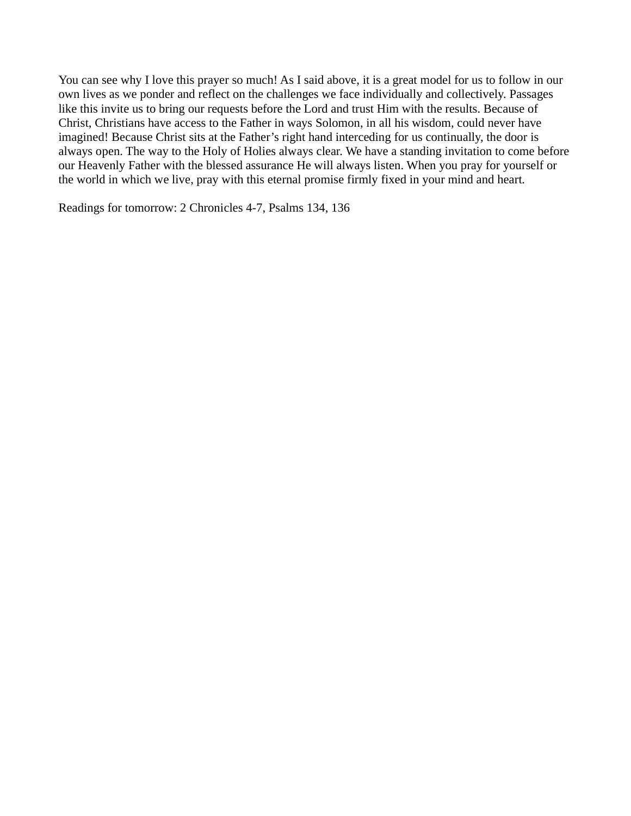You can see why I love this prayer so much! As I said above, it is a great model for us to follow in our own lives as we ponder and reflect on the challenges we face individually and collectively. Passages like this invite us to bring our requests before the Lord and trust Him with the results. Because of Christ, Christians have access to the Father in ways Solomon, in all his wisdom, could never have imagined! Because Christ sits at the Father's right hand interceding for us continually, the door is always open. The way to the Holy of Holies always clear. We have a standing invitation to come before our Heavenly Father with the blessed assurance He will always listen. When you pray for yourself or the world in which we live, pray with this eternal promise firmly fixed in your mind and heart.

Readings for tomorrow: 2 Chronicles 4-7, Psalms 134, 136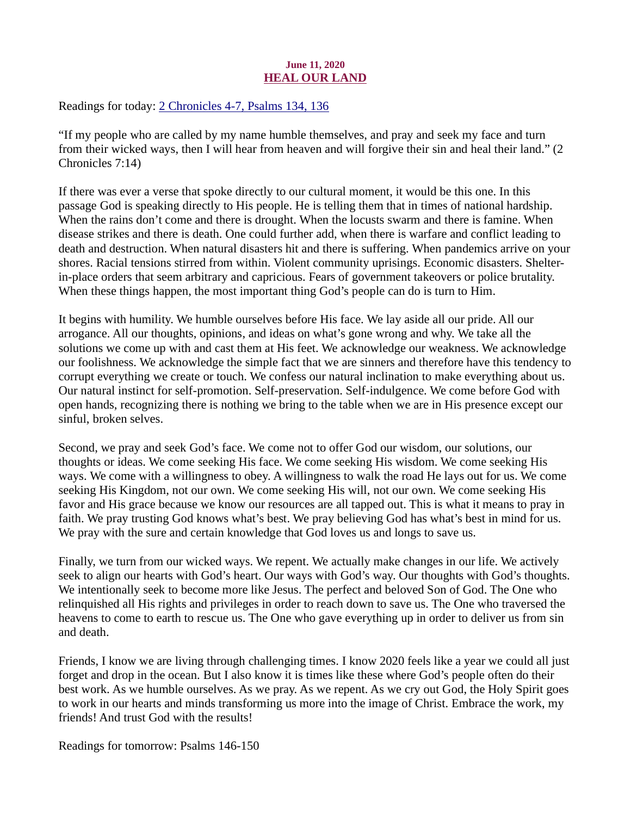## June 11, 2020 HEAL OUR LAND

<span id="page-19-0"></span>[Readings for today: 2 Chronicles 4-7, Psalms 134, 136](https://www.biblegateway.com/passage/?search=2+Chronicles+4-7%2C+Psalms+134%2C+136&version=ESV)

"If my people who are called by my name humble themselves, and pray and seek my face and turn from their wicked ways, then I will hear from heaven and will forgive their sin and heal their land." (2 Chronicles 7:14)

If there was ever a verse that spoke directly to our cultural moment, it would be this one. In this passage God is speaking directly to His people. He is telling them that in times of national hardship. When the rains don't come and there is drought. When the locusts swarm and there is famine. When disease strikes and there is death. One could further add, when there is warfare and conflict leading to death and destruction. When natural disasters hit and there is suffering. When pandemics arrive on your shores. Racial tensions stirred from within. Violent community uprisings. Economic disasters. Shelterin-place orders that seem arbitrary and capricious. Fears of government takeovers or police brutality. When these things happen, the most important thing God's people can do is turn to Him.

It begins with humility. We humble ourselves before His face. We lay aside all our pride. All our arrogance. All our thoughts, opinions, and ideas on what's gone wrong and why. We take all the solutions we come up with and cast them at His feet. We acknowledge our weakness. We acknowledge our foolishness. We acknowledge the simple fact that we are sinners and therefore have this tendency to corrupt everything we create or touch. We confess our natural inclination to make everything about us. Our natural instinct for self-promotion. Self-preservation. Self-indulgence. We come before God with open hands, recognizing there is nothing we bring to the table when we are in His presence except our sinful, broken selves.

Second, we pray and seek God's face. We come not to offer God our wisdom, our solutions, our thoughts or ideas. We come seeking His face. We come seeking His wisdom. We come seeking His ways. We come with a willingness to obey. A willingness to walk the road He lays out for us. We come seeking His Kingdom, not our own. We come seeking His will, not our own. We come seeking His favor and His grace because we know our resources are all tapped out. This is what it means to pray in faith. We pray trusting God knows what's best. We pray believing God has what's best in mind for us. We pray with the sure and certain knowledge that God loves us and longs to save us.

Finally, we turn from our wicked ways. We repent. We actually make changes in our life. We actively seek to align our hearts with God's heart. Our ways with God's way. Our thoughts with God's thoughts. We intentionally seek to become more like Jesus. The perfect and beloved Son of God. The One who relinquished all His rights and privileges in order to reach down to save us. The One who traversed the heavens to come to earth to rescue us. The One who gave everything up in order to deliver us from sin and death.

Friends, I know we are living through challenging times. I know 2020 feels like a year we could all just forget and drop in the ocean. But I also know it is times like these where God's people often do their best work. As we humble ourselves. As we pray. As we repent. As we cry out God, the Holy Spirit goes to work in our hearts and minds transforming us more into the image of Christ. Embrace the work, my friends! And trust God with the results!

Readings for tomorrow: Psalms 146-150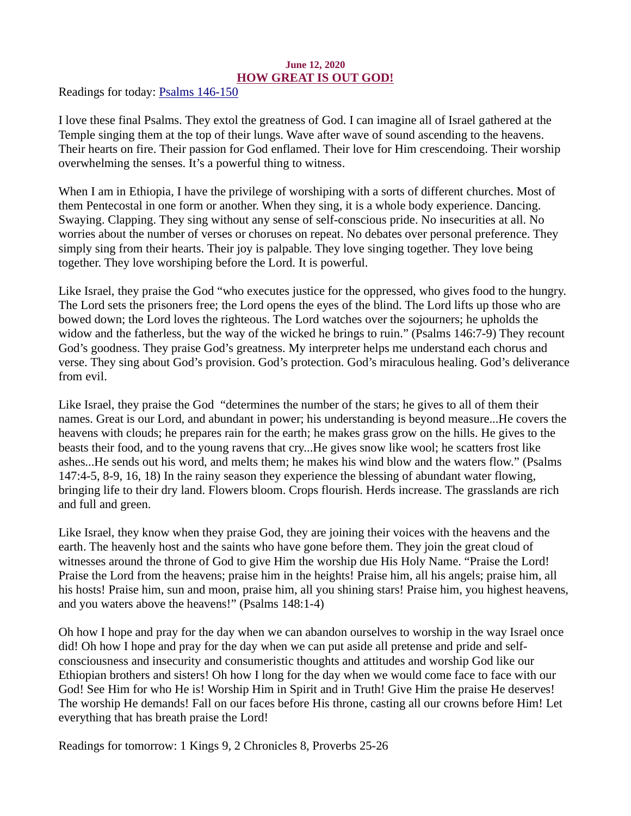#### June 12, 2020 HOW GREAT IS OUT GOD!

<span id="page-20-0"></span>[Readings for today: Psalms 146-150](https://www.biblegateway.com/passage/?search=Psalms+146-150&version=ESV)

I love these final Psalms. They extol the greatness of God. I can imagine all of Israel gathered at the Temple singing them at the top of their lungs. Wave after wave of sound ascending to the heavens. Their hearts on fire. Their passion for God enflamed. Their love for Him crescendoing. Their worship overwhelming the senses. It's a powerful thing to witness.

When I am in Ethiopia, I have the privilege of worshiping with a sorts of different churches. Most of them Pentecostal in one form or another. When they sing, it is a whole body experience. Dancing. Swaying. Clapping. They sing without any sense of self-conscious pride. No insecurities at all. No worries about the number of verses or choruses on repeat. No debates over personal preference. They simply sing from their hearts. Their joy is palpable. They love singing together. They love being together. They love worshiping before the Lord. It is powerful.

Like Israel, they praise the God "who executes justice for the oppressed, who gives food to the hungry. The Lord sets the prisoners free; the Lord opens the eyes of the blind. The Lord lifts up those who are bowed down; the Lord loves the righteous. The Lord watches over the sojourners; he upholds the widow and the fatherless, but the way of the wicked he brings to ruin." (Psalms 146:7-9) They recount God's goodness. They praise God's greatness. My interpreter helps me understand each chorus and verse. They sing about God's provision. God's protection. God's miraculous healing. God's deliverance from evil.

Like Israel, they praise the God "determines the number of the stars; he gives to all of them their names. Great is our Lord, and abundant in power; his understanding is beyond measure...He covers the heavens with clouds; he prepares rain for the earth; he makes grass grow on the hills. He gives to the beasts their food, and to the young ravens that cry...He gives snow like wool; he scatters frost like ashes...He sends out his word, and melts them; he makes his wind blow and the waters flow." (Psalms 147:4-5, 8-9, 16, 18) In the rainy season they experience the blessing of abundant water flowing, bringing life to their dry land. Flowers bloom. Crops flourish. Herds increase. The grasslands are rich and full and green.

Like Israel, they know when they praise God, they are joining their voices with the heavens and the earth. The heavenly host and the saints who have gone before them. They join the great cloud of witnesses around the throne of God to give Him the worship due His Holy Name. "Praise the Lord! Praise the Lord from the heavens; praise him in the heights! Praise him, all his angels; praise him, all his hosts! Praise him, sun and moon, praise him, all you shining stars! Praise him, you highest heavens, and you waters above the heavens!" (Psalms 148:1-4)

Oh how I hope and pray for the day when we can abandon ourselves to worship in the way Israel once did! Oh how I hope and pray for the day when we can put aside all pretense and pride and selfconsciousness and insecurity and consumeristic thoughts and attitudes and worship God like our Ethiopian brothers and sisters! Oh how I long for the day when we would come face to face with our God! See Him for who He is! Worship Him in Spirit and in Truth! Give Him the praise He deserves! The worship He demands! Fall on our faces before His throne, casting all our crowns before Him! Let everything that has breath praise the Lord!

Readings for tomorrow: 1 Kings 9, 2 Chronicles 8, Proverbs 25-26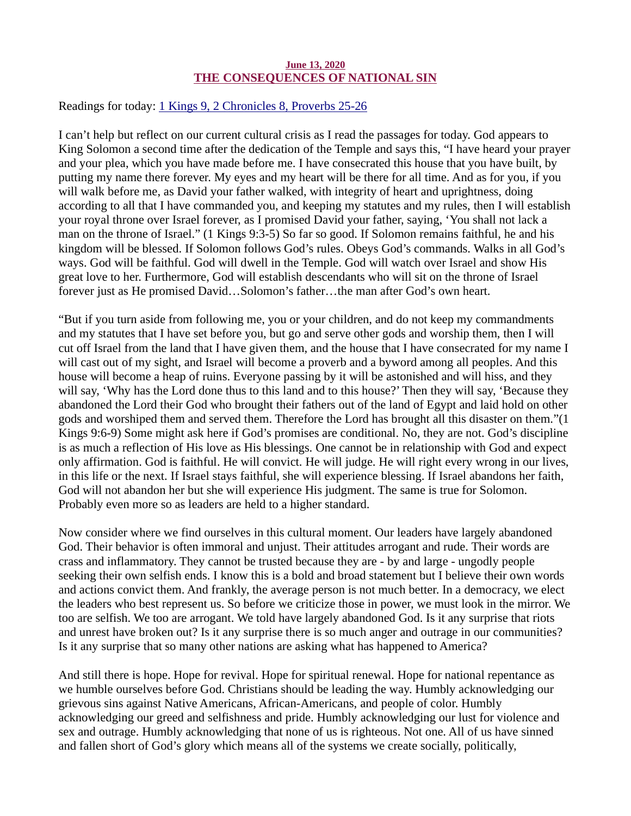## June 13, 2020 THE CONSEQUENCES OF NATIONAL SIN

<span id="page-21-0"></span>[Readings for today: 1 Kings 9, 2 Chronicles 8, Proverbs 25-26](https://www.biblegateway.com/passage/?search=1+Kings+9%2C+2+Chronicles+8%2C+Proverbs+25-26&version=ESV)

I can't help but reflect on our current cultural crisis as I read the passages for today. God appears to King Solomon a second time after the dedication of the Temple and says this, "I have heard your prayer and your plea, which you have made before me. I have consecrated this house that you have built, by putting my name there forever. My eyes and my heart will be there for all time. And as for you, if you will walk before me, as David your father walked, with integrity of heart and uprightness, doing according to all that I have commanded you, and keeping my statutes and my rules, then I will establish your royal throne over Israel forever, as I promised David your father, saying, 'You shall not lack a man on the throne of Israel." (1 Kings 9:3-5) So far so good. If Solomon remains faithful, he and his kingdom will be blessed. If Solomon follows God's rules. Obeys God's commands. Walks in all God's ways. God will be faithful. God will dwell in the Temple. God will watch over Israel and show His great love to her. Furthermore, God will establish descendants who will sit on the throne of Israel forever just as He promised David…Solomon's father…the man after God's own heart.

"But if you turn aside from following me, you or your children, and do not keep my commandments and my statutes that I have set before you, but go and serve other gods and worship them, then I will cut off Israel from the land that I have given them, and the house that I have consecrated for my name I will cast out of my sight, and Israel will become a proverb and a byword among all peoples. And this house will become a heap of ruins. Everyone passing by it will be astonished and will hiss, and they will say, 'Why has the Lord done thus to this land and to this house?' Then they will say, 'Because they abandoned the Lord their God who brought their fathers out of the land of Egypt and laid hold on other gods and worshiped them and served them. Therefore the Lord has brought all this disaster on them."(1 Kings 9:6-9) Some might ask here if God's promises are conditional. No, they are not. God's discipline is as much a reflection of His love as His blessings. One cannot be in relationship with God and expect only affirmation. God is faithful. He will convict. He will judge. He will right every wrong in our lives, in this life or the next. If Israel stays faithful, she will experience blessing. If Israel abandons her faith, God will not abandon her but she will experience His judgment. The same is true for Solomon. Probably even more so as leaders are held to a higher standard.

Now consider where we find ourselves in this cultural moment. Our leaders have largely abandoned God. Their behavior is often immoral and unjust. Their attitudes arrogant and rude. Their words are crass and inflammatory. They cannot be trusted because they are - by and large - ungodly people seeking their own selfish ends. I know this is a bold and broad statement but I believe their own words and actions convict them. And frankly, the average person is not much better. In a democracy, we elect the leaders who best represent us. So before we criticize those in power, we must look in the mirror. We too are selfish. We too are arrogant. We told have largely abandoned God. Is it any surprise that riots and unrest have broken out? Is it any surprise there is so much anger and outrage in our communities? Is it any surprise that so many other nations are asking what has happened to America?

And still there is hope. Hope for revival. Hope for spiritual renewal. Hope for national repentance as we humble ourselves before God. Christians should be leading the way. Humbly acknowledging our grievous sins against Native Americans, African-Americans, and people of color. Humbly acknowledging our greed and selfishness and pride. Humbly acknowledging our lust for violence and sex and outrage. Humbly acknowledging that none of us is righteous. Not one. All of us have sinned and fallen short of God's glory which means all of the systems we create socially, politically,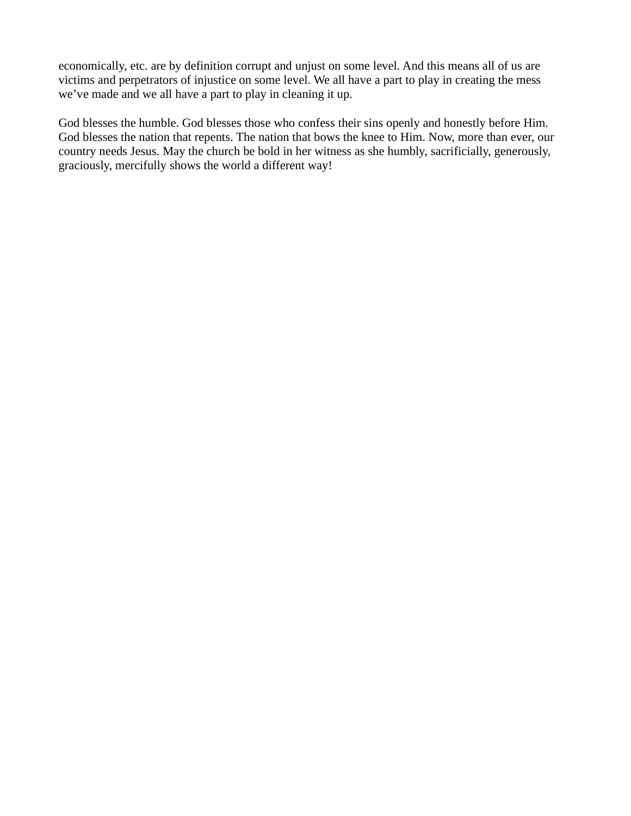economically, etc. are by definition corrupt and unjust on some level. And this means all of us are victims and perpetrators of injustice on some level. We all have a part to play in creating the mess we've made and we all have a part to play in cleaning it up.

God blesses the humble. God blesses those who confess their sins openly and honestly before Him. God blesses the nation that repents. The nation that bows the knee to Him. Now, more than ever, our country needs Jesus. May the church be bold in her witness as she humbly, sacrificially, generously, graciously, mercifully shows the world a different way!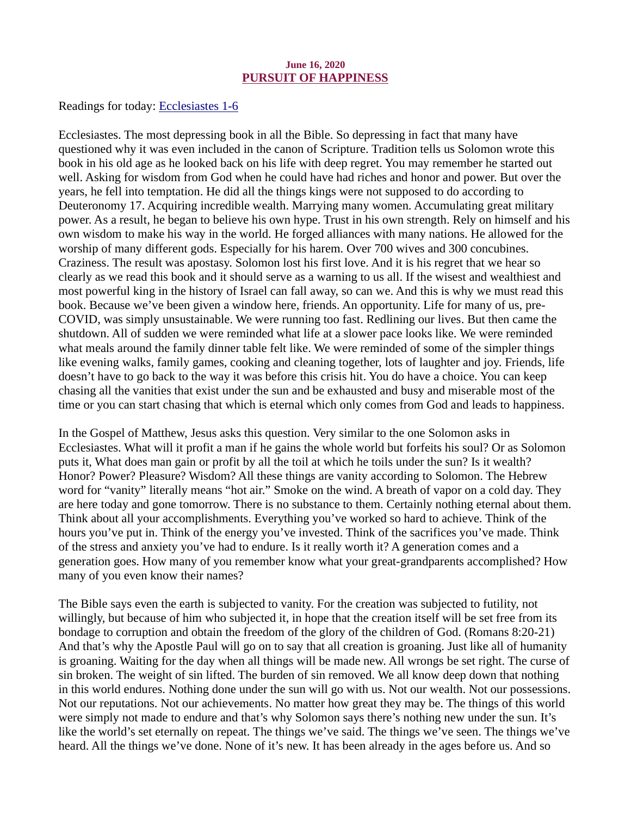#### June 16, 2020 PURSUIT OF HAPPINESS

<span id="page-23-0"></span>[Readings for today: Ecclesiastes 1-6](https://www.biblegateway.com/passage/?search=Ecclesiastes+1-6&version=ESV)

Ecclesiastes. The most depressing book in all the Bible. So depressing in fact that many have questioned why it was even included in the canon of Scripture. Tradition tells us Solomon wrote this book in his old age as he looked back on his life with deep regret. You may remember he started out well. Asking for wisdom from God when he could have had riches and honor and power. But over the years, he fell into temptation. He did all the things kings were not supposed to do according to Deuteronomy 17. Acquiring incredible wealth. Marrying many women. Accumulating great military power. As a result, he began to believe his own hype. Trust in his own strength. Rely on himself and his own wisdom to make his way in the world. He forged alliances with many nations. He allowed for the worship of many different gods. Especially for his harem. Over 700 wives and 300 concubines. Craziness. The result was apostasy. Solomon lost his first love. And it is his regret that we hear so clearly as we read this book and it should serve as a warning to us all. If the wisest and wealthiest and most powerful king in the history of Israel can fall away, so can we. And this is why we must read this book. Because we've been given a window here, friends. An opportunity. Life for many of us, pre-COVID, was simply unsustainable. We were running too fast. Redlining our lives. But then came the shutdown. All of sudden we were reminded what life at a slower pace looks like. We were reminded what meals around the family dinner table felt like. We were reminded of some of the simpler things like evening walks, family games, cooking and cleaning together, lots of laughter and joy. Friends, life doesn't have to go back to the way it was before this crisis hit. You do have a choice. You can keep chasing all the vanities that exist under the sun and be exhausted and busy and miserable most of the time or you can start chasing that which is eternal which only comes from God and leads to happiness.

In the Gospel of Matthew, Jesus asks this question. Very similar to the one Solomon asks in Ecclesiastes. What will it profit a man if he gains the whole world but forfeits his soul? Or as Solomon puts it, What does man gain or profit by all the toil at which he toils under the sun? Is it wealth? Honor? Power? Pleasure? Wisdom? All these things are vanity according to Solomon. The Hebrew word for "vanity" literally means "hot air." Smoke on the wind. A breath of vapor on a cold day. They are here today and gone tomorrow. There is no substance to them. Certainly nothing eternal about them. Think about all your accomplishments. Everything you've worked so hard to achieve. Think of the hours you've put in. Think of the energy you've invested. Think of the sacrifices you've made. Think of the stress and anxiety you've had to endure. Is it really worth it? A generation comes and a generation goes. How many of you remember know what your great-grandparents accomplished? How many of you even know their names?

The Bible says even the earth is subjected to vanity. For the creation was subjected to futility, not willingly, but because of him who subjected it, in hope that the creation itself will be set free from its bondage to corruption and obtain the freedom of the glory of the children of God. (Romans 8:20-21) And that's why the Apostle Paul will go on to say that all creation is groaning. Just like all of humanity is groaning. Waiting for the day when all things will be made new. All wrongs be set right. The curse of sin broken. The weight of sin lifted. The burden of sin removed. We all know deep down that nothing in this world endures. Nothing done under the sun will go with us. Not our wealth. Not our possessions. Not our reputations. Not our achievements. No matter how great they may be. The things of this world were simply not made to endure and that's why Solomon says there's nothing new under the sun. It's like the world's set eternally on repeat. The things we've said. The things we've seen. The things we've heard. All the things we've done. None of it's new. It has been already in the ages before us. And so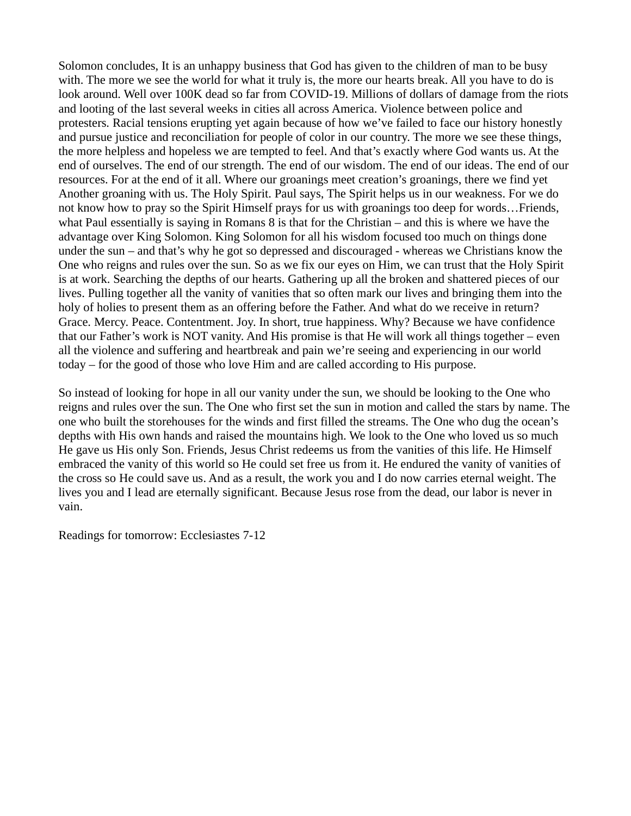Solomon concludes, It is an unhappy business that God has given to the children of man to be busy with. The more we see the world for what it truly is, the more our hearts break. All you have to do is look around. Well over 100K dead so far from COVID-19. Millions of dollars of damage from the riots and looting of the last several weeks in cities all across America. Violence between police and protesters. Racial tensions erupting yet again because of how we've failed to face our history honestly and pursue justice and reconciliation for people of color in our country. The more we see these things, the more helpless and hopeless we are tempted to feel. And that's exactly where God wants us. At the end of ourselves. The end of our strength. The end of our wisdom. The end of our ideas. The end of our resources. For at the end of it all. Where our groanings meet creation's groanings, there we find yet Another groaning with us. The Holy Spirit. Paul says, The Spirit helps us in our weakness. For we do not know how to pray so the Spirit Himself prays for us with groanings too deep for words…Friends, what Paul essentially is saying in Romans 8 is that for the Christian – and this is where we have the advantage over King Solomon. King Solomon for all his wisdom focused too much on things done under the sun – and that's why he got so depressed and discouraged - whereas we Christians know the One who reigns and rules over the sun. So as we fix our eyes on Him, we can trust that the Holy Spirit is at work. Searching the depths of our hearts. Gathering up all the broken and shattered pieces of our lives. Pulling together all the vanity of vanities that so often mark our lives and bringing them into the holy of holies to present them as an offering before the Father. And what do we receive in return? Grace. Mercy. Peace. Contentment. Joy. In short, true happiness. Why? Because we have confidence that our Father's work is NOT vanity. And His promise is that He will work all things together – even all the violence and suffering and heartbreak and pain we're seeing and experiencing in our world today – for the good of those who love Him and are called according to His purpose.

So instead of looking for hope in all our vanity under the sun, we should be looking to the One who reigns and rules over the sun. The One who first set the sun in motion and called the stars by name. The one who built the storehouses for the winds and first filled the streams. The One who dug the ocean's depths with His own hands and raised the mountains high. We look to the One who loved us so much He gave us His only Son. Friends, Jesus Christ redeems us from the vanities of this life. He Himself embraced the vanity of this world so He could set free us from it. He endured the vanity of vanities of the cross so He could save us. And as a result, the work you and I do now carries eternal weight. The lives you and I lead are eternally significant. Because Jesus rose from the dead, our labor is never in vain.

Readings for tomorrow: Ecclesiastes 7-12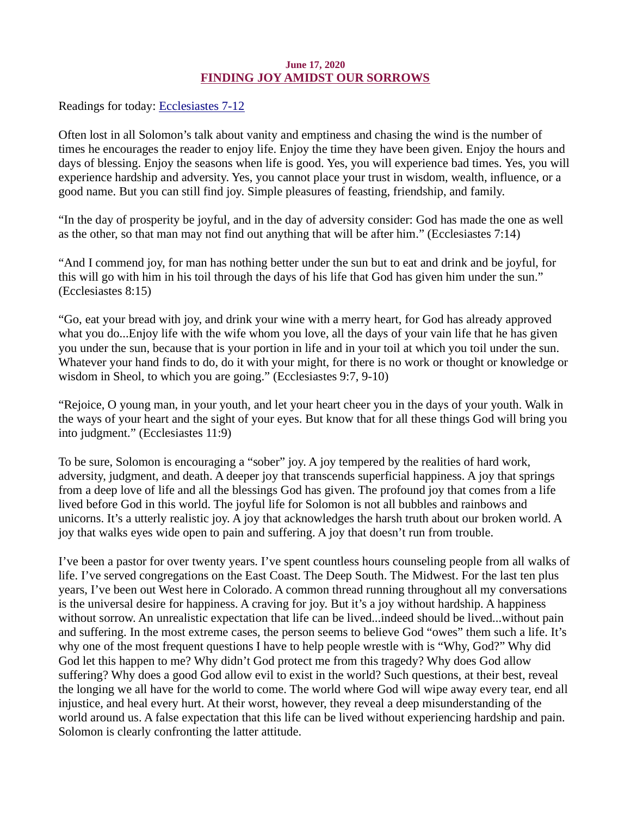### June 17, 2020 FINDING JOY AMIDST OUR SORROWS

<span id="page-25-0"></span>[Readings for today: Ecclesiastes 7-12](https://www.biblegateway.com/passage/?search=Ecclesiastes+7-12&version=ESV)

Often lost in all Solomon's talk about vanity and emptiness and chasing the wind is the number of times he encourages the reader to enjoy life. Enjoy the time they have been given. Enjoy the hours and days of blessing. Enjoy the seasons when life is good. Yes, you will experience bad times. Yes, you will experience hardship and adversity. Yes, you cannot place your trust in wisdom, wealth, influence, or a good name. But you can still find joy. Simple pleasures of feasting, friendship, and family.

"In the day of prosperity be joyful, and in the day of adversity consider: God has made the one as well as the other, so that man may not find out anything that will be after him." (Ecclesiastes 7:14)

"And I commend joy, for man has nothing better under the sun but to eat and drink and be joyful, for this will go with him in his toil through the days of his life that God has given him under the sun." (Ecclesiastes 8:15)

"Go, eat your bread with joy, and drink your wine with a merry heart, for God has already approved what you do...Enjoy life with the wife whom you love, all the days of your vain life that he has given you under the sun, because that is your portion in life and in your toil at which you toil under the sun. Whatever your hand finds to do, do it with your might, for there is no work or thought or knowledge or wisdom in Sheol, to which you are going." (Ecclesiastes 9:7, 9-10)

"Rejoice, O young man, in your youth, and let your heart cheer you in the days of your youth. Walk in the ways of your heart and the sight of your eyes. But know that for all these things God will bring you into judgment." (Ecclesiastes 11:9)

To be sure, Solomon is encouraging a "sober" joy. A joy tempered by the realities of hard work, adversity, judgment, and death. A deeper joy that transcends superficial happiness. A joy that springs from a deep love of life and all the blessings God has given. The profound joy that comes from a life lived before God in this world. The joyful life for Solomon is not all bubbles and rainbows and unicorns. It's a utterly realistic joy. A joy that acknowledges the harsh truth about our broken world. A joy that walks eyes wide open to pain and suffering. A joy that doesn't run from trouble.

I've been a pastor for over twenty years. I've spent countless hours counseling people from all walks of life. I've served congregations on the East Coast. The Deep South. The Midwest. For the last ten plus years, I've been out West here in Colorado. A common thread running throughout all my conversations is the universal desire for happiness. A craving for joy. But it's a joy without hardship. A happiness without sorrow. An unrealistic expectation that life can be lived...indeed should be lived...without pain and suffering. In the most extreme cases, the person seems to believe God "owes" them such a life. It's why one of the most frequent questions I have to help people wrestle with is "Why, God?" Why did God let this happen to me? Why didn't God protect me from this tragedy? Why does God allow suffering? Why does a good God allow evil to exist in the world? Such questions, at their best, reveal the longing we all have for the world to come. The world where God will wipe away every tear, end all injustice, and heal every hurt. At their worst, however, they reveal a deep misunderstanding of the world around us. A false expectation that this life can be lived without experiencing hardship and pain. Solomon is clearly confronting the latter attitude.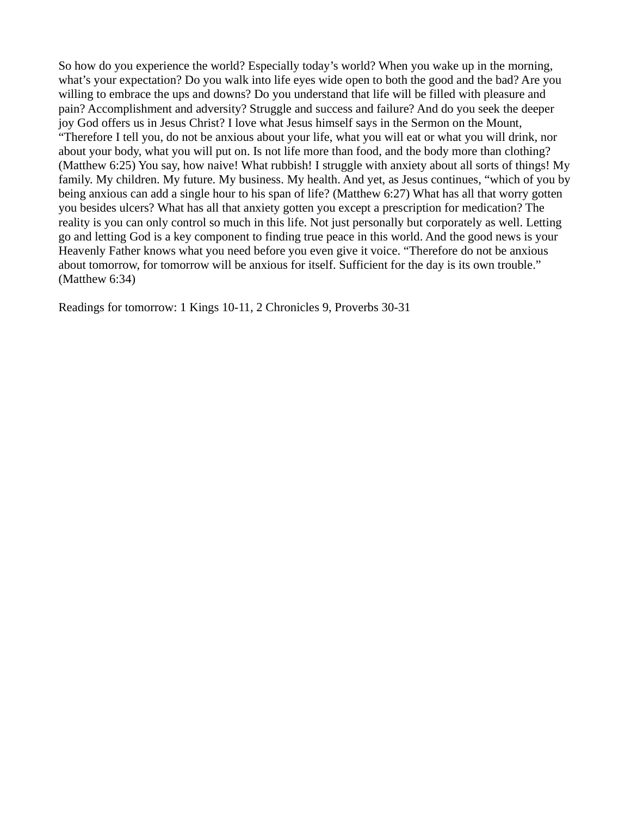So how do you experience the world? Especially today's world? When you wake up in the morning, what's your expectation? Do you walk into life eyes wide open to both the good and the bad? Are you willing to embrace the ups and downs? Do you understand that life will be filled with pleasure and pain? Accomplishment and adversity? Struggle and success and failure? And do you seek the deeper joy God offers us in Jesus Christ? I love what Jesus himself says in the Sermon on the Mount, "Therefore I tell you, do not be anxious about your life, what you will eat or what you will drink, nor about your body, what you will put on. Is not life more than food, and the body more than clothing? (Matthew 6:25) You say, how naive! What rubbish! I struggle with anxiety about all sorts of things! My family. My children. My future. My business. My health. And yet, as Jesus continues, "which of you by being anxious can add a single hour to his span of life? (Matthew 6:27) What has all that worry gotten you besides ulcers? What has all that anxiety gotten you except a prescription for medication? The reality is you can only control so much in this life. Not just personally but corporately as well. Letting go and letting God is a key component to finding true peace in this world. And the good news is your Heavenly Father knows what you need before you even give it voice. "Therefore do not be anxious about tomorrow, for tomorrow will be anxious for itself. Sufficient for the day is its own trouble." (Matthew 6:34)

Readings for tomorrow: 1 Kings 10-11, 2 Chronicles 9, Proverbs 30-31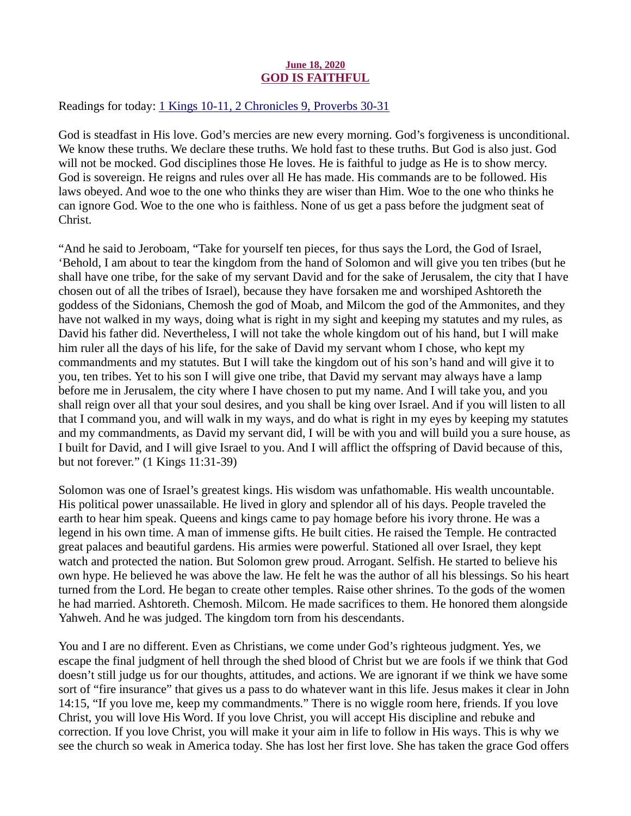## June 18, 2020 GOD IS FAITHFUL

<span id="page-27-0"></span>[Readings for today: 1 Kings 10-11, 2 Chronicles 9, Proverbs 30-31](https://www.biblegateway.com/passage/?search=1+Kings+10-11%2C+2+Chronicles+9%2C+Proverbs+30-31&version=ESV)

God is steadfast in His love. God's mercies are new every morning. God's forgiveness is unconditional. We know these truths. We declare these truths. We hold fast to these truths. But God is also just. God will not be mocked. God disciplines those He loves. He is faithful to judge as He is to show mercy. God is sovereign. He reigns and rules over all He has made. His commands are to be followed. His laws obeyed. And woe to the one who thinks they are wiser than Him. Woe to the one who thinks he can ignore God. Woe to the one who is faithless. None of us get a pass before the judgment seat of Christ.

"And he said to Jeroboam, "Take for yourself ten pieces, for thus says the Lord, the God of Israel, 'Behold, I am about to tear the kingdom from the hand of Solomon and will give you ten tribes (but he shall have one tribe, for the sake of my servant David and for the sake of Jerusalem, the city that I have chosen out of all the tribes of Israel), because they have forsaken me and worshiped Ashtoreth the goddess of the Sidonians, Chemosh the god of Moab, and Milcom the god of the Ammonites, and they have not walked in my ways, doing what is right in my sight and keeping my statutes and my rules, as David his father did. Nevertheless, I will not take the whole kingdom out of his hand, but I will make him ruler all the days of his life, for the sake of David my servant whom I chose, who kept my commandments and my statutes. But I will take the kingdom out of his son's hand and will give it to you, ten tribes. Yet to his son I will give one tribe, that David my servant may always have a lamp before me in Jerusalem, the city where I have chosen to put my name. And I will take you, and you shall reign over all that your soul desires, and you shall be king over Israel. And if you will listen to all that I command you, and will walk in my ways, and do what is right in my eyes by keeping my statutes and my commandments, as David my servant did, I will be with you and will build you a sure house, as I built for David, and I will give Israel to you. And I will afflict the offspring of David because of this, but not forever." (1 Kings 11:31-39)

Solomon was one of Israel's greatest kings. His wisdom was unfathomable. His wealth uncountable. His political power unassailable. He lived in glory and splendor all of his days. People traveled the earth to hear him speak. Queens and kings came to pay homage before his ivory throne. He was a legend in his own time. A man of immense gifts. He built cities. He raised the Temple. He contracted great palaces and beautiful gardens. His armies were powerful. Stationed all over Israel, they kept watch and protected the nation. But Solomon grew proud. Arrogant. Selfish. He started to believe his own hype. He believed he was above the law. He felt he was the author of all his blessings. So his heart turned from the Lord. He began to create other temples. Raise other shrines. To the gods of the women he had married. Ashtoreth. Chemosh. Milcom. He made sacrifices to them. He honored them alongside Yahweh. And he was judged. The kingdom torn from his descendants.

You and I are no different. Even as Christians, we come under God's righteous judgment. Yes, we escape the final judgment of hell through the shed blood of Christ but we are fools if we think that God doesn't still judge us for our thoughts, attitudes, and actions. We are ignorant if we think we have some sort of "fire insurance" that gives us a pass to do whatever want in this life. Jesus makes it clear in John 14:15, "If you love me, keep my commandments." There is no wiggle room here, friends. If you love Christ, you will love His Word. If you love Christ, you will accept His discipline and rebuke and correction. If you love Christ, you will make it your aim in life to follow in His ways. This is why we see the church so weak in America today. She has lost her first love. She has taken the grace God offers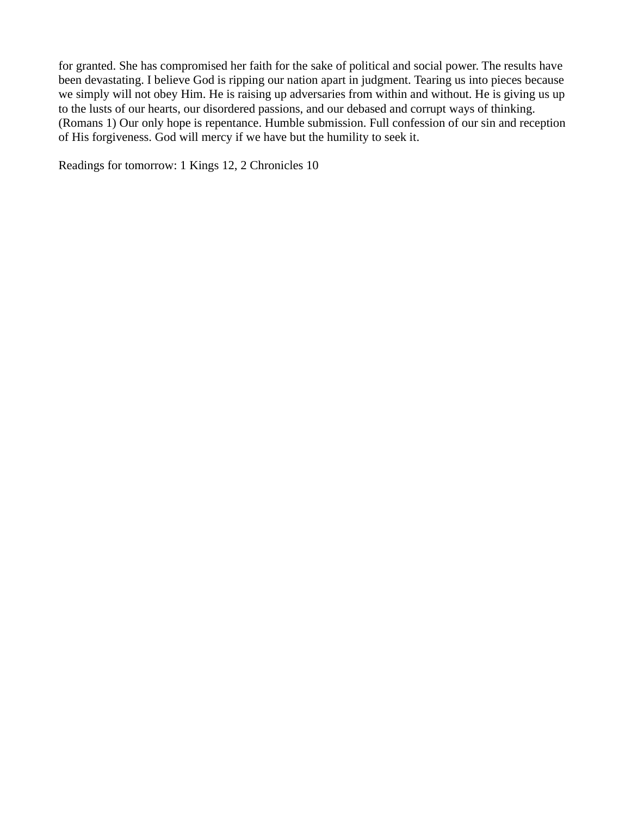for granted. She has compromised her faith for the sake of political and social power. The results have been devastating. I believe God is ripping our nation apart in judgment. Tearing us into pieces because we simply will not obey Him. He is raising up adversaries from within and without. He is giving us up to the lusts of our hearts, our disordered passions, and our debased and corrupt ways of thinking. (Romans 1) Our only hope is repentance. Humble submission. Full confession of our sin and reception of His forgiveness. God will mercy if we have but the humility to seek it.

Readings for tomorrow: 1 Kings 12, 2 Chronicles 10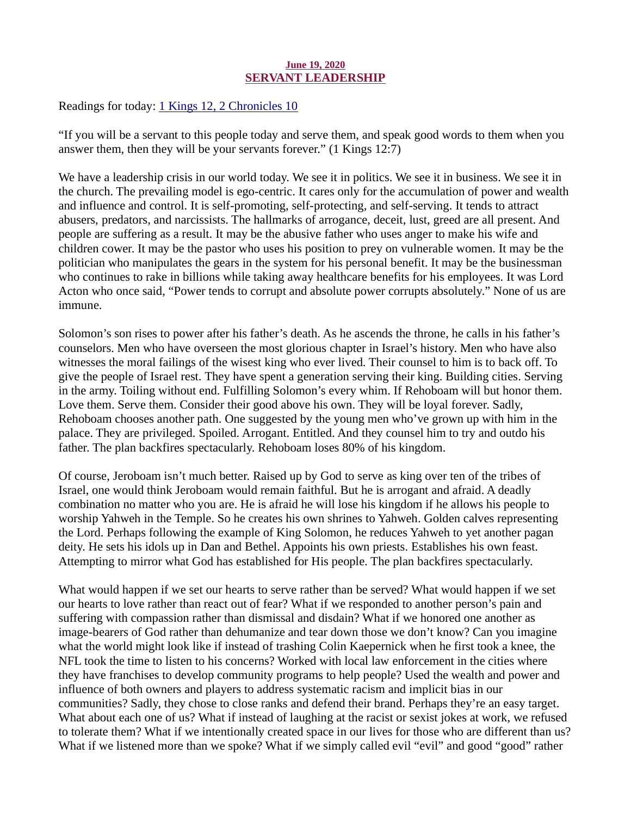## June 19, 2020 SERVANT LEADERSHIP

<span id="page-29-0"></span>[Readings for today: 1 Kings 12, 2 Chronicles 10](https://www.biblegateway.com/passage/?search=1+Kings+12%2C+2+Chronicles+10&version=ESV)

"If you will be a servant to this people today and serve them, and speak good words to them when you answer them, then they will be your servants forever." (1 Kings 12:7)

We have a leadership crisis in our world today. We see it in politics. We see it in business. We see it in the church. The prevailing model is ego-centric. It cares only for the accumulation of power and wealth and influence and control. It is self-promoting, self-protecting, and self-serving. It tends to attract abusers, predators, and narcissists. The hallmarks of arrogance, deceit, lust, greed are all present. And people are suffering as a result. It may be the abusive father who uses anger to make his wife and children cower. It may be the pastor who uses his position to prey on vulnerable women. It may be the politician who manipulates the gears in the system for his personal benefit. It may be the businessman who continues to rake in billions while taking away healthcare benefits for his employees. It was Lord Acton who once said, "Power tends to corrupt and absolute power corrupts absolutely." None of us are immune.

Solomon's son rises to power after his father's death. As he ascends the throne, he calls in his father's counselors. Men who have overseen the most glorious chapter in Israel's history. Men who have also witnesses the moral failings of the wisest king who ever lived. Their counsel to him is to back off. To give the people of Israel rest. They have spent a generation serving their king. Building cities. Serving in the army. Toiling without end. Fulfilling Solomon's every whim. If Rehoboam will but honor them. Love them. Serve them. Consider their good above his own. They will be loyal forever. Sadly, Rehoboam chooses another path. One suggested by the young men who've grown up with him in the palace. They are privileged. Spoiled. Arrogant. Entitled. And they counsel him to try and outdo his father. The plan backfires spectacularly. Rehoboam loses 80% of his kingdom.

Of course, Jeroboam isn't much better. Raised up by God to serve as king over ten of the tribes of Israel, one would think Jeroboam would remain faithful. But he is arrogant and afraid. A deadly combination no matter who you are. He is afraid he will lose his kingdom if he allows his people to worship Yahweh in the Temple. So he creates his own shrines to Yahweh. Golden calves representing the Lord. Perhaps following the example of King Solomon, he reduces Yahweh to yet another pagan deity. He sets his idols up in Dan and Bethel. Appoints his own priests. Establishes his own feast. Attempting to mirror what God has established for His people. The plan backfires spectacularly.

What would happen if we set our hearts to serve rather than be served? What would happen if we set our hearts to love rather than react out of fear? What if we responded to another person's pain and suffering with compassion rather than dismissal and disdain? What if we honored one another as image-bearers of God rather than dehumanize and tear down those we don't know? Can you imagine what the world might look like if instead of trashing Colin Kaepernick when he first took a knee, the NFL took the time to listen to his concerns? Worked with local law enforcement in the cities where they have franchises to develop community programs to help people? Used the wealth and power and influence of both owners and players to address systematic racism and implicit bias in our communities? Sadly, they chose to close ranks and defend their brand. Perhaps they're an easy target. What about each one of us? What if instead of laughing at the racist or sexist jokes at work, we refused to tolerate them? What if we intentionally created space in our lives for those who are different than us? What if we listened more than we spoke? What if we simply called evil "evil" and good "good" rather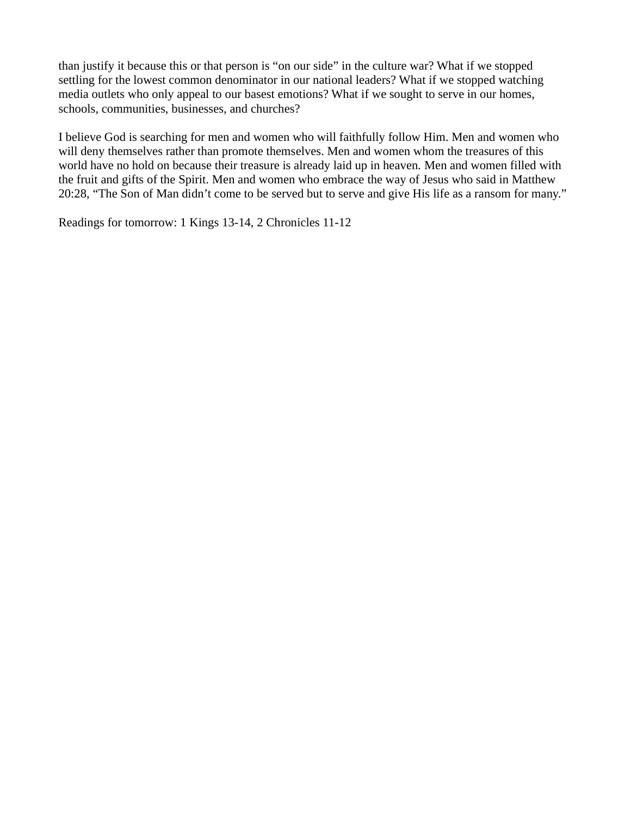than justify it because this or that person is "on our side" in the culture war? What if we stopped settling for the lowest common denominator in our national leaders? What if we stopped watching media outlets who only appeal to our basest emotions? What if we sought to serve in our homes, schools, communities, businesses, and churches?

I believe God is searching for men and women who will faithfully follow Him. Men and women who will deny themselves rather than promote themselves. Men and women whom the treasures of this world have no hold on because their treasure is already laid up in heaven. Men and women filled with the fruit and gifts of the Spirit. Men and women who embrace the way of Jesus who said in Matthew 20:28, "The Son of Man didn't come to be served but to serve and give His life as a ransom for many."

Readings for tomorrow: 1 Kings 13-14, 2 Chronicles 11-12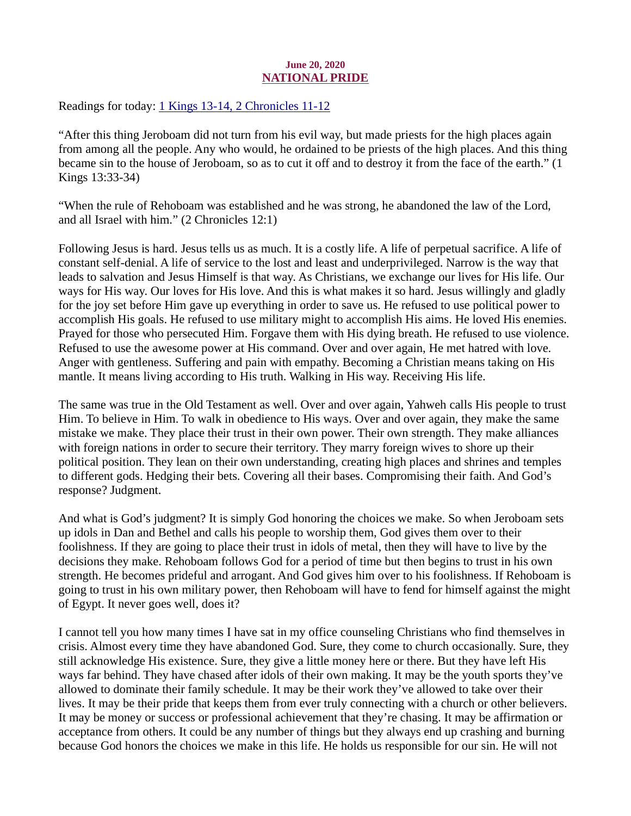## June 20, 2020 NATIONAL PRIDE

<span id="page-31-0"></span>[Readings for today: 1 Kings 13-14, 2 Chronicles 11-12](https://www.biblegateway.com/passage/?search=1+Kings+13-14%2C+2+Chronicles+11-12&version=ESV)

"After this thing Jeroboam did not turn from his evil way, but made priests for the high places again from among all the people. Any who would, he ordained to be priests of the high places. And this thing became sin to the house of Jeroboam, so as to cut it off and to destroy it from the face of the earth." (1 Kings 13:33-34)

"When the rule of Rehoboam was established and he was strong, he abandoned the law of the Lord, and all Israel with him." (2 Chronicles 12:1)

Following Jesus is hard. Jesus tells us as much. It is a costly life. A life of perpetual sacrifice. A life of constant self-denial. A life of service to the lost and least and underprivileged. Narrow is the way that leads to salvation and Jesus Himself is that way. As Christians, we exchange our lives for His life. Our ways for His way. Our loves for His love. And this is what makes it so hard. Jesus willingly and gladly for the joy set before Him gave up everything in order to save us. He refused to use political power to accomplish His goals. He refused to use military might to accomplish His aims. He loved His enemies. Prayed for those who persecuted Him. Forgave them with His dying breath. He refused to use violence. Refused to use the awesome power at His command. Over and over again, He met hatred with love. Anger with gentleness. Suffering and pain with empathy. Becoming a Christian means taking on His mantle. It means living according to His truth. Walking in His way. Receiving His life.

The same was true in the Old Testament as well. Over and over again, Yahweh calls His people to trust Him. To believe in Him. To walk in obedience to His ways. Over and over again, they make the same mistake we make. They place their trust in their own power. Their own strength. They make alliances with foreign nations in order to secure their territory. They marry foreign wives to shore up their political position. They lean on their own understanding, creating high places and shrines and temples to different gods. Hedging their bets. Covering all their bases. Compromising their faith. And God's response? Judgment.

And what is God's judgment? It is simply God honoring the choices we make. So when Jeroboam sets up idols in Dan and Bethel and calls his people to worship them, God gives them over to their foolishness. If they are going to place their trust in idols of metal, then they will have to live by the decisions they make. Rehoboam follows God for a period of time but then begins to trust in his own strength. He becomes prideful and arrogant. And God gives him over to his foolishness. If Rehoboam is going to trust in his own military power, then Rehoboam will have to fend for himself against the might of Egypt. It never goes well, does it?

I cannot tell you how many times I have sat in my office counseling Christians who find themselves in crisis. Almost every time they have abandoned God. Sure, they come to church occasionally. Sure, they still acknowledge His existence. Sure, they give a little money here or there. But they have left His ways far behind. They have chased after idols of their own making. It may be the youth sports they've allowed to dominate their family schedule. It may be their work they've allowed to take over their lives. It may be their pride that keeps them from ever truly connecting with a church or other believers. It may be money or success or professional achievement that they're chasing. It may be affirmation or acceptance from others. It could be any number of things but they always end up crashing and burning because God honors the choices we make in this life. He holds us responsible for our sin. He will not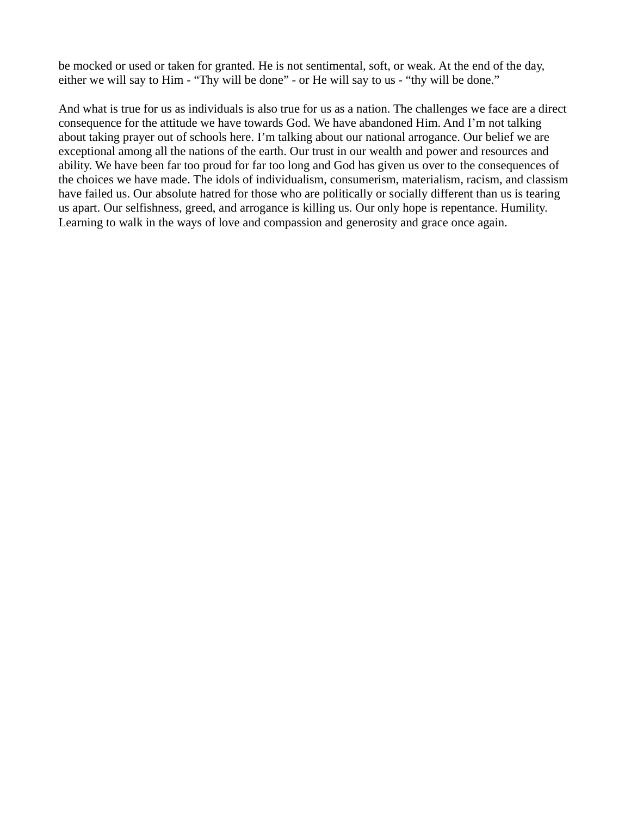be mocked or used or taken for granted. He is not sentimental, soft, or weak. At the end of the day, either we will say to Him - "Thy will be done" - or He will say to us - "thy will be done."

And what is true for us as individuals is also true for us as a nation. The challenges we face are a direct consequence for the attitude we have towards God. We have abandoned Him. And I'm not talking about taking prayer out of schools here. I'm talking about our national arrogance. Our belief we are exceptional among all the nations of the earth. Our trust in our wealth and power and resources and ability. We have been far too proud for far too long and God has given us over to the consequences of the choices we have made. The idols of individualism, consumerism, materialism, racism, and classism have failed us. Our absolute hatred for those who are politically or socially different than us is tearing us apart. Our selfishness, greed, and arrogance is killing us. Our only hope is repentance. Humility. Learning to walk in the ways of love and compassion and generosity and grace once again.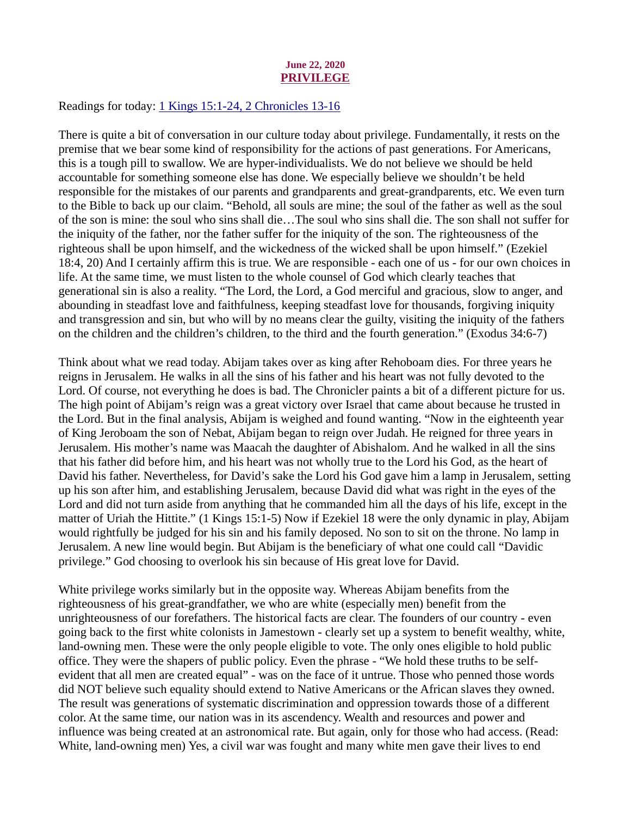## June 22, 2020 PRIVILEGE

<span id="page-33-0"></span>[Readings for today: 1 Kings 15:1-24, 2 Chronicles 13-16](https://www.biblegateway.com/passage/?search=1+Kings+15%3A1-24%2C+2+Chronicles+13-16&version=ESV)

There is quite a bit of conversation in our culture today about privilege. Fundamentally, it rests on the premise that we bear some kind of responsibility for the actions of past generations. For Americans, this is a tough pill to swallow. We are hyper-individualists. We do not believe we should be held accountable for something someone else has done. We especially believe we shouldn't be held responsible for the mistakes of our parents and grandparents and great-grandparents, etc. We even turn to the Bible to back up our claim. "Behold, all souls are mine; the soul of the father as well as the soul of the son is mine: the soul who sins shall die…The soul who sins shall die. The son shall not suffer for the iniquity of the father, nor the father suffer for the iniquity of the son. The righteousness of the righteous shall be upon himself, and the wickedness of the wicked shall be upon himself." (Ezekiel 18:4, 20) And I certainly affirm this is true. We are responsible - each one of us - for our own choices in life. At the same time, we must listen to the whole counsel of God which clearly teaches that generational sin is also a reality. "The Lord, the Lord, a God merciful and gracious, slow to anger, and abounding in steadfast love and faithfulness, keeping steadfast love for thousands, forgiving iniquity and transgression and sin, but who will by no means clear the guilty, visiting the iniquity of the fathers on the children and the children's children, to the third and the fourth generation." (Exodus 34:6-7)

Think about what we read today. Abijam takes over as king after Rehoboam dies. For three years he reigns in Jerusalem. He walks in all the sins of his father and his heart was not fully devoted to the Lord. Of course, not everything he does is bad. The Chronicler paints a bit of a different picture for us. The high point of Abijam's reign was a great victory over Israel that came about because he trusted in the Lord. But in the final analysis, Abijam is weighed and found wanting. "Now in the eighteenth year of King Jeroboam the son of Nebat, Abijam began to reign over Judah. He reigned for three years in Jerusalem. His mother's name was Maacah the daughter of Abishalom. And he walked in all the sins that his father did before him, and his heart was not wholly true to the Lord his God, as the heart of David his father. Nevertheless, for David's sake the Lord his God gave him a lamp in Jerusalem, setting up his son after him, and establishing Jerusalem, because David did what was right in the eyes of the Lord and did not turn aside from anything that he commanded him all the days of his life, except in the matter of Uriah the Hittite." (1 Kings 15:1-5) Now if Ezekiel 18 were the only dynamic in play, Abijam would rightfully be judged for his sin and his family deposed. No son to sit on the throne. No lamp in Jerusalem. A new line would begin. But Abijam is the beneficiary of what one could call "Davidic privilege." God choosing to overlook his sin because of His great love for David.

White privilege works similarly but in the opposite way. Whereas Abijam benefits from the righteousness of his great-grandfather, we who are white (especially men) benefit from the unrighteousness of our forefathers. The historical facts are clear. The founders of our country - even going back to the first white colonists in Jamestown - clearly set up a system to benefit wealthy, white, land-owning men. These were the only people eligible to vote. The only ones eligible to hold public office. They were the shapers of public policy. Even the phrase - "We hold these truths to be selfevident that all men are created equal" - was on the face of it untrue. Those who penned those words did NOT believe such equality should extend to Native Americans or the African slaves they owned. The result was generations of systematic discrimination and oppression towards those of a different color. At the same time, our nation was in its ascendency. Wealth and resources and power and influence was being created at an astronomical rate. But again, only for those who had access. (Read: White, land-owning men) Yes, a civil war was fought and many white men gave their lives to end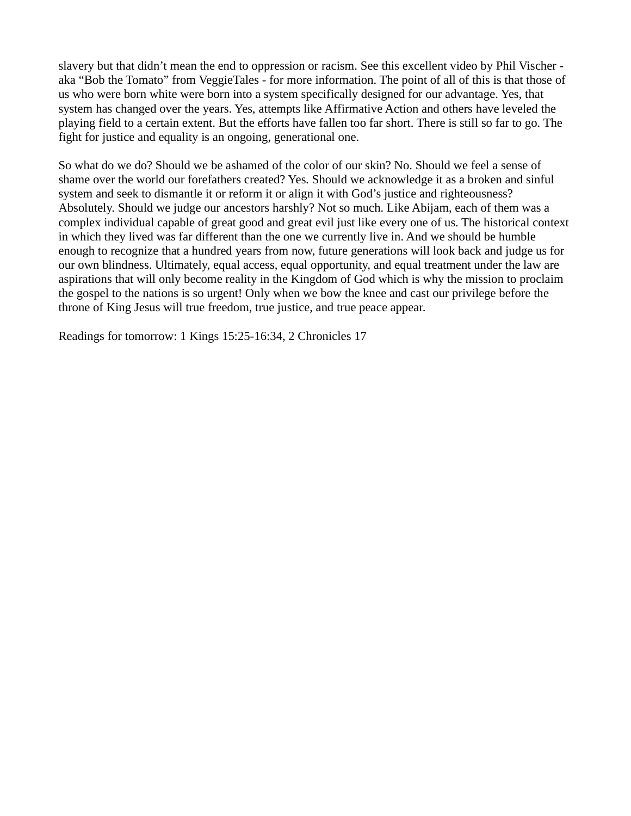slavery but that didn't mean the end to oppression or racism. See this excellent video by Phil Vischer aka "Bob the Tomato" from VeggieTales - for more information. The point of all of this is that those of us who were born white were born into a system specifically designed for our advantage. Yes, that system has changed over the years. Yes, attempts like Affirmative Action and others have leveled the playing field to a certain extent. But the efforts have fallen too far short. There is still so far to go. The fight for justice and equality is an ongoing, generational one.

So what do we do? Should we be ashamed of the color of our skin? No. Should we feel a sense of shame over the world our forefathers created? Yes. Should we acknowledge it as a broken and sinful system and seek to dismantle it or reform it or align it with God's justice and righteousness? Absolutely. Should we judge our ancestors harshly? Not so much. Like Abijam, each of them was a complex individual capable of great good and great evil just like every one of us. The historical context in which they lived was far different than the one we currently live in. And we should be humble enough to recognize that a hundred years from now, future generations will look back and judge us for our own blindness. Ultimately, equal access, equal opportunity, and equal treatment under the law are aspirations that will only become reality in the Kingdom of God which is why the mission to proclaim the gospel to the nations is so urgent! Only when we bow the knee and cast our privilege before the throne of King Jesus will true freedom, true justice, and true peace appear.

Readings for tomorrow: 1 Kings 15:25-16:34, 2 Chronicles 17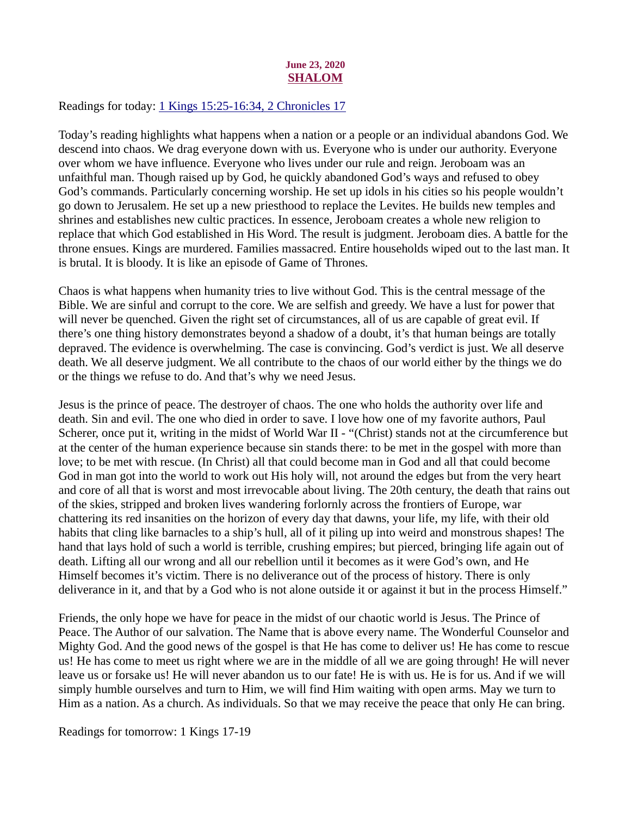# June 23, 2020 SHALOM

<span id="page-35-0"></span>[Readings for today: 1 Kings 15:25-16:34, 2 Chronicles 17](https://www.biblegateway.com/passage/?search=1+Kings+15%3A25-16%3A34%2C+2+Chronicles+17&version=ESV)

Today's reading highlights what happens when a nation or a people or an individual abandons God. We descend into chaos. We drag everyone down with us. Everyone who is under our authority. Everyone over whom we have influence. Everyone who lives under our rule and reign. Jeroboam was an unfaithful man. Though raised up by God, he quickly abandoned God's ways and refused to obey God's commands. Particularly concerning worship. He set up idols in his cities so his people wouldn't go down to Jerusalem. He set up a new priesthood to replace the Levites. He builds new temples and shrines and establishes new cultic practices. In essence, Jeroboam creates a whole new religion to replace that which God established in His Word. The result is judgment. Jeroboam dies. A battle for the throne ensues. Kings are murdered. Families massacred. Entire households wiped out to the last man. It is brutal. It is bloody. It is like an episode of Game of Thrones.

Chaos is what happens when humanity tries to live without God. This is the central message of the Bible. We are sinful and corrupt to the core. We are selfish and greedy. We have a lust for power that will never be quenched. Given the right set of circumstances, all of us are capable of great evil. If there's one thing history demonstrates beyond a shadow of a doubt, it's that human beings are totally depraved. The evidence is overwhelming. The case is convincing. God's verdict is just. We all deserve death. We all deserve judgment. We all contribute to the chaos of our world either by the things we do or the things we refuse to do. And that's why we need Jesus.

Jesus is the prince of peace. The destroyer of chaos. The one who holds the authority over life and death. Sin and evil. The one who died in order to save. I love how one of my favorite authors, Paul Scherer, once put it, writing in the midst of World War II - "(Christ) stands not at the circumference but at the center of the human experience because sin stands there: to be met in the gospel with more than love; to be met with rescue. (In Christ) all that could become man in God and all that could become God in man got into the world to work out His holy will, not around the edges but from the very heart and core of all that is worst and most irrevocable about living. The 20th century, the death that rains out of the skies, stripped and broken lives wandering forlornly across the frontiers of Europe, war chattering its red insanities on the horizon of every day that dawns, your life, my life, with their old habits that cling like barnacles to a ship's hull, all of it piling up into weird and monstrous shapes! The hand that lays hold of such a world is terrible, crushing empires; but pierced, bringing life again out of death. Lifting all our wrong and all our rebellion until it becomes as it were God's own, and He Himself becomes it's victim. There is no deliverance out of the process of history. There is only deliverance in it, and that by a God who is not alone outside it or against it but in the process Himself."

Friends, the only hope we have for peace in the midst of our chaotic world is Jesus. The Prince of Peace. The Author of our salvation. The Name that is above every name. The Wonderful Counselor and Mighty God. And the good news of the gospel is that He has come to deliver us! He has come to rescue us! He has come to meet us right where we are in the middle of all we are going through! He will never leave us or forsake us! He will never abandon us to our fate! He is with us. He is for us. And if we will simply humble ourselves and turn to Him, we will find Him waiting with open arms. May we turn to Him as a nation. As a church. As individuals. So that we may receive the peace that only He can bring.

Readings for tomorrow: 1 Kings 17-19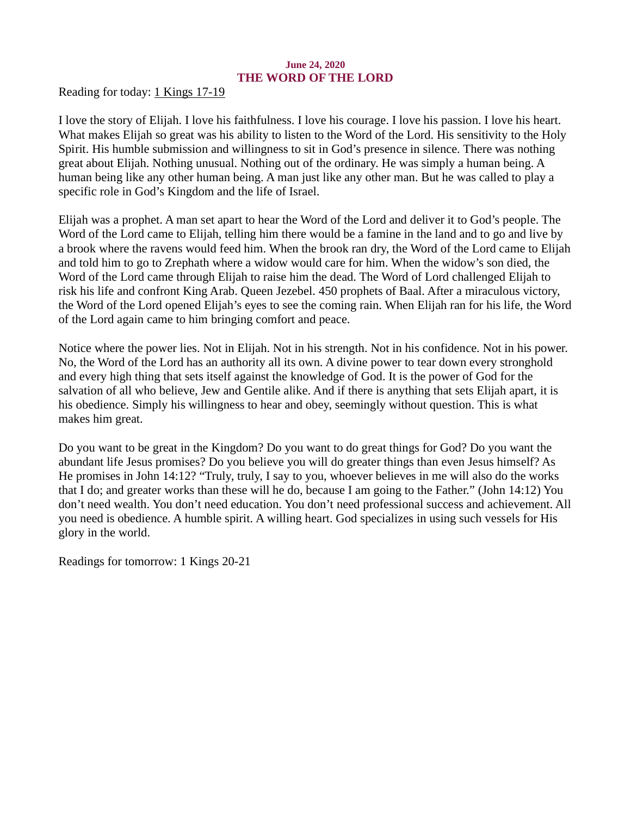## June 24, 2020 THE WORD OF THE LORD

<span id="page-36-0"></span>[Reading for today: 1 Kings 17-19](https://www.biblegateway.com/passage/?search=1+Kings+17-19&version=ESV)

I love the story of Elijah. I love his faithfulness. I love his courage. I love his passion. I love his heart. What makes Elijah so great was his ability to listen to the Word of the Lord. His sensitivity to the Holy Spirit. His humble submission and willingness to sit in God's presence in silence. There was nothing great about Elijah. Nothing unusual. Nothing out of the ordinary. He was simply a human being. A human being like any other human being. A man just like any other man. But he was called to play a specific role in God's Kingdom and the life of Israel.

Elijah was a prophet. A man set apart to hear the Word of the Lord and deliver it to God's people. The Word of the Lord came to Elijah, telling him there would be a famine in the land and to go and live by a brook where the ravens would feed him. When the brook ran dry, the Word of the Lord came to Elijah and told him to go to Zrephath where a widow would care for him. When the widow's son died, the Word of the Lord came through Elijah to raise him the dead. The Word of Lord challenged Elijah to risk his life and confront King Arab. Queen Jezebel. 450 prophets of Baal. After a miraculous victory, the Word of the Lord opened Elijah's eyes to see the coming rain. When Elijah ran for his life, the Word of the Lord again came to him bringing comfort and peace.

Notice where the power lies. Not in Elijah. Not in his strength. Not in his confidence. Not in his power. No, the Word of the Lord has an authority all its own. A divine power to tear down every stronghold and every high thing that sets itself against the knowledge of God. It is the power of God for the salvation of all who believe, Jew and Gentile alike. And if there is anything that sets Elijah apart, it is his obedience. Simply his willingness to hear and obey, seemingly without question. This is what makes him great.

Do you want to be great in the Kingdom? Do you want to do great things for God? Do you want the abundant life Jesus promises? Do you believe you will do greater things than even Jesus himself? As He promises in John 14:12? "Truly, truly, I say to you, whoever believes in me will also do the works that I do; and greater works than these will he do, because I am going to the Father." (John 14:12) You don't need wealth. You don't need education. You don't need professional success and achievement. All you need is obedience. A humble spirit. A willing heart. God specializes in using such vessels for His glory in the world.

Readings for tomorrow: 1 Kings 20-21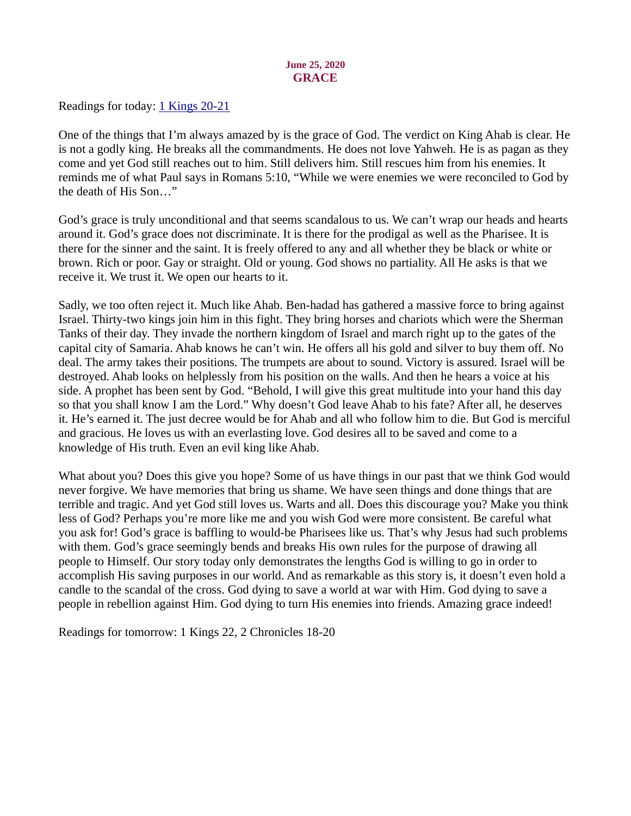#### June 25, 2020 **GRACE**

<span id="page-37-0"></span>[Readings for today: 1 Kings 20-21](https://www.biblegateway.com/passage/?search=1+Kings+20-21&version=ESV)

One of the things that I'm always amazed by is the grace of God. The verdict on King Ahab is clear. He is not a godly king. He breaks all the commandments. He does not love Yahweh. He is as pagan as they come and yet God still reaches out to him. Still delivers him. Still rescues him from his enemies. It reminds me of what Paul says in Romans 5:10, "While we were enemies we were reconciled to God by the death of His Son…"

God's grace is truly unconditional and that seems scandalous to us. We can't wrap our heads and hearts around it. God's grace does not discriminate. It is there for the prodigal as well as the Pharisee. It is there for the sinner and the saint. It is freely offered to any and all whether they be black or white or brown. Rich or poor. Gay or straight. Old or young. God shows no partiality. All He asks is that we receive it. We trust it. We open our hearts to it.

Sadly, we too often reject it. Much like Ahab. Ben-hadad has gathered a massive force to bring against Israel. Thirty-two kings join him in this fight. They bring horses and chariots which were the Sherman Tanks of their day. They invade the northern kingdom of Israel and march right up to the gates of the capital city of Samaria. Ahab knows he can't win. He offers all his gold and silver to buy them off. No deal. The army takes their positions. The trumpets are about to sound. Victory is assured. Israel will be destroyed. Ahab looks on helplessly from his position on the walls. And then he hears a voice at his side. A prophet has been sent by God. "Behold, I will give this great multitude into your hand this day so that you shall know I am the Lord." Why doesn't God leave Ahab to his fate? After all, he deserves it. He's earned it. The just decree would be for Ahab and all who follow him to die. But God is merciful and gracious. He loves us with an everlasting love. God desires all to be saved and come to a knowledge of His truth. Even an evil king like Ahab.

What about you? Does this give you hope? Some of us have things in our past that we think God would never forgive. We have memories that bring us shame. We have seen things and done things that are terrible and tragic. And yet God still loves us. Warts and all. Does this discourage you? Make you think less of God? Perhaps you're more like me and you wish God were more consistent. Be careful what you ask for! God's grace is baffling to would-be Pharisees like us. That's why Jesus had such problems with them. God's grace seemingly bends and breaks His own rules for the purpose of drawing all people to Himself. Our story today only demonstrates the lengths God is willing to go in order to accomplish His saving purposes in our world. And as remarkable as this story is, it doesn't even hold a candle to the scandal of the cross. God dying to save a world at war with Him. God dying to save a people in rebellion against Him. God dying to turn His enemies into friends. Amazing grace indeed!

Readings for tomorrow: 1 Kings 22, 2 Chronicles 18-20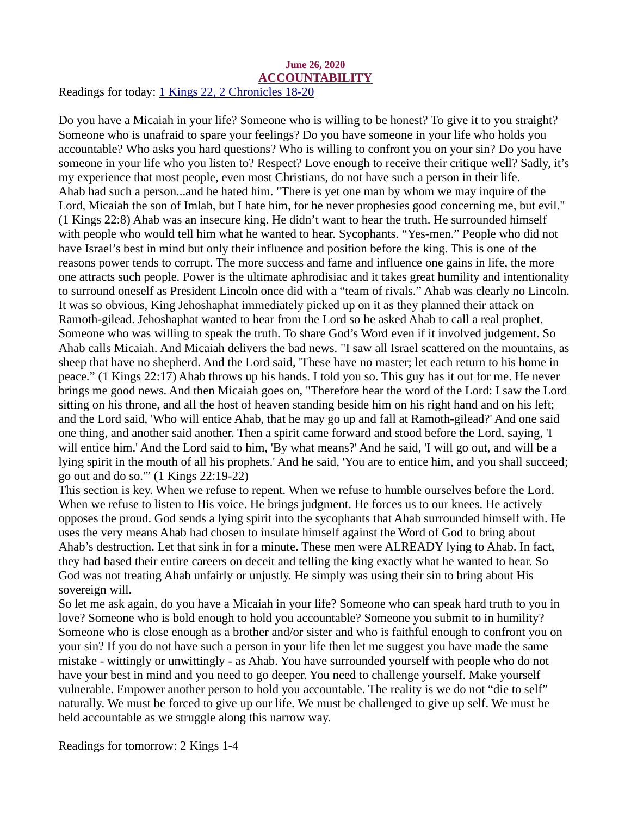#### <span id="page-38-0"></span>June 26, 2020 ACCOUNTABILITY [Readings for today: 1 Kings 22, 2 Chronicles 18-20](https://www.biblegateway.com/passage/?search=1+Kings+22%2C+2+Chronicles+18-20&version=ESV)

Do you have a Micaiah in your life? Someone who is willing to be honest? To give it to you straight? Someone who is unafraid to spare your feelings? Do you have someone in your life who holds you accountable? Who asks you hard questions? Who is willing to confront you on your sin? Do you have someone in your life who you listen to? Respect? Love enough to receive their critique well? Sadly, it's my experience that most people, even most Christians, do not have such a person in their life. Ahab had such a person...and he hated him. "There is yet one man by whom we may inquire of the Lord, Micaiah the son of Imlah, but I hate him, for he never prophesies good concerning me, but evil." (1 Kings 22:8) Ahab was an insecure king. He didn't want to hear the truth. He surrounded himself with people who would tell him what he wanted to hear. Sycophants. "Yes-men." People who did not have Israel's best in mind but only their influence and position before the king. This is one of the reasons power tends to corrupt. The more success and fame and influence one gains in life, the more one attracts such people. Power is the ultimate aphrodisiac and it takes great humility and intentionality to surround oneself as President Lincoln once did with a "team of rivals." Ahab was clearly no Lincoln. It was so obvious, King Jehoshaphat immediately picked up on it as they planned their attack on Ramoth-gilead. Jehoshaphat wanted to hear from the Lord so he asked Ahab to call a real prophet. Someone who was willing to speak the truth. To share God's Word even if it involved judgement. So Ahab calls Micaiah. And Micaiah delivers the bad news. "I saw all Israel scattered on the mountains, as sheep that have no shepherd. And the Lord said, 'These have no master; let each return to his home in peace." (1 Kings 22:17) Ahab throws up his hands. I told you so. This guy has it out for me. He never brings me good news. And then Micaiah goes on, "Therefore hear the word of the Lord: I saw the Lord sitting on his throne, and all the host of heaven standing beside him on his right hand and on his left; and the Lord said, 'Who will entice Ahab, that he may go up and fall at Ramoth-gilead?' And one said one thing, and another said another. Then a spirit came forward and stood before the Lord, saying, 'I will entice him.' And the Lord said to him, 'By what means?' And he said, 'I will go out, and will be a lying spirit in the mouth of all his prophets.' And he said, 'You are to entice him, and you shall succeed; go out and do so.'" (1 Kings 22:19-22)

This section is key. When we refuse to repent. When we refuse to humble ourselves before the Lord. When we refuse to listen to His voice. He brings judgment. He forces us to our knees. He actively opposes the proud. God sends a lying spirit into the sycophants that Ahab surrounded himself with. He uses the very means Ahab had chosen to insulate himself against the Word of God to bring about Ahab's destruction. Let that sink in for a minute. These men were ALREADY lying to Ahab. In fact, they had based their entire careers on deceit and telling the king exactly what he wanted to hear. So God was not treating Ahab unfairly or unjustly. He simply was using their sin to bring about His sovereign will.

So let me ask again, do you have a Micaiah in your life? Someone who can speak hard truth to you in love? Someone who is bold enough to hold you accountable? Someone you submit to in humility? Someone who is close enough as a brother and/or sister and who is faithful enough to confront you on your sin? If you do not have such a person in your life then let me suggest you have made the same mistake - wittingly or unwittingly - as Ahab. You have surrounded yourself with people who do not have your best in mind and you need to go deeper. You need to challenge yourself. Make yourself vulnerable. Empower another person to hold you accountable. The reality is we do not "die to self" naturally. We must be forced to give up our life. We must be challenged to give up self. We must be held accountable as we struggle along this narrow way.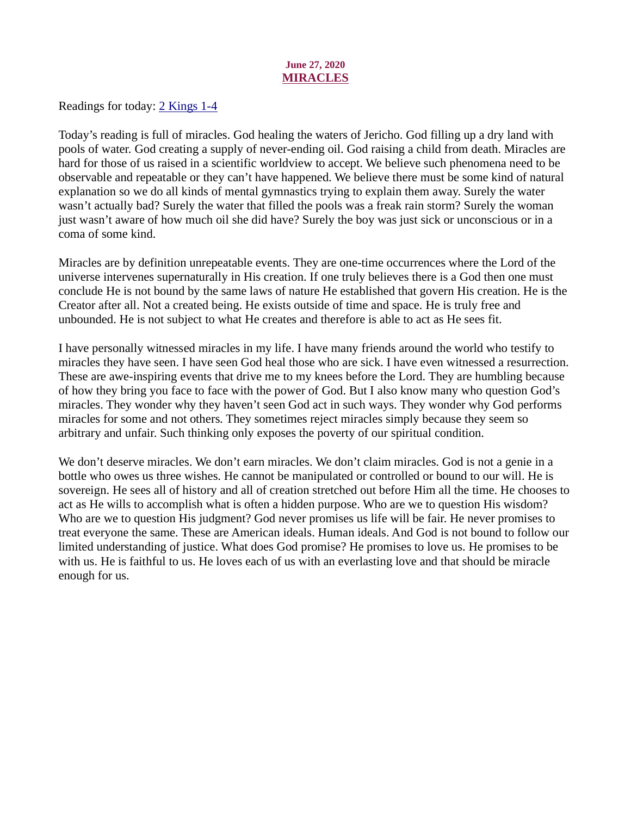## June 27, 2020 MIRACLES

<span id="page-39-0"></span>[Readings for today: 2 Kings 1-4](https://www.biblegateway.com/passage/?search=2+Kings+1-4&version=ESV)

Today's reading is full of miracles. God healing the waters of Jericho. God filling up a dry land with pools of water. God creating a supply of never-ending oil. God raising a child from death. Miracles are hard for those of us raised in a scientific worldview to accept. We believe such phenomena need to be observable and repeatable or they can't have happened. We believe there must be some kind of natural explanation so we do all kinds of mental gymnastics trying to explain them away. Surely the water wasn't actually bad? Surely the water that filled the pools was a freak rain storm? Surely the woman just wasn't aware of how much oil she did have? Surely the boy was just sick or unconscious or in a coma of some kind.

Miracles are by definition unrepeatable events. They are one-time occurrences where the Lord of the universe intervenes supernaturally in His creation. If one truly believes there is a God then one must conclude He is not bound by the same laws of nature He established that govern His creation. He is the Creator after all. Not a created being. He exists outside of time and space. He is truly free and unbounded. He is not subject to what He creates and therefore is able to act as He sees fit.

I have personally witnessed miracles in my life. I have many friends around the world who testify to miracles they have seen. I have seen God heal those who are sick. I have even witnessed a resurrection. These are awe-inspiring events that drive me to my knees before the Lord. They are humbling because of how they bring you face to face with the power of God. But I also know many who question God's miracles. They wonder why they haven't seen God act in such ways. They wonder why God performs miracles for some and not others. They sometimes reject miracles simply because they seem so arbitrary and unfair. Such thinking only exposes the poverty of our spiritual condition.

We don't deserve miracles. We don't earn miracles. We don't claim miracles. God is not a genie in a bottle who owes us three wishes. He cannot be manipulated or controlled or bound to our will. He is sovereign. He sees all of history and all of creation stretched out before Him all the time. He chooses to act as He wills to accomplish what is often a hidden purpose. Who are we to question His wisdom? Who are we to question His judgment? God never promises us life will be fair. He never promises to treat everyone the same. These are American ideals. Human ideals. And God is not bound to follow our limited understanding of justice. What does God promise? He promises to love us. He promises to be with us. He is faithful to us. He loves each of us with an everlasting love and that should be miracle enough for us.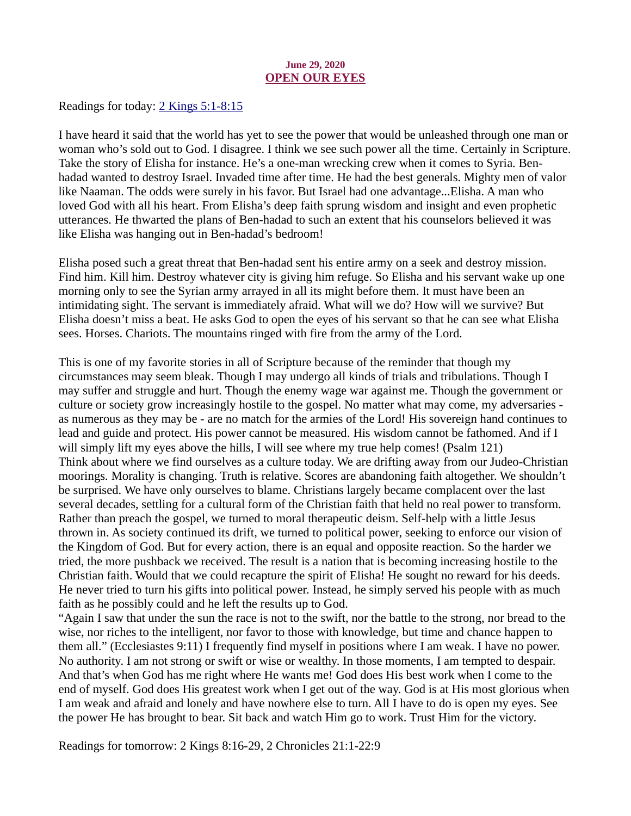#### June 29, 2020 OPEN OUR EYES

<span id="page-40-0"></span>[Readings for today: 2 Kings 5:1-8:15](https://www.biblegateway.com/passage/?search=2+Kings+5%3A1-8%3A15&version=ESV)

I have heard it said that the world has yet to see the power that would be unleashed through one man or woman who's sold out to God. I disagree. I think we see such power all the time. Certainly in Scripture. Take the story of Elisha for instance. He's a one-man wrecking crew when it comes to Syria. Benhadad wanted to destroy Israel. Invaded time after time. He had the best generals. Mighty men of valor like Naaman. The odds were surely in his favor. But Israel had one advantage...Elisha. A man who loved God with all his heart. From Elisha's deep faith sprung wisdom and insight and even prophetic utterances. He thwarted the plans of Ben-hadad to such an extent that his counselors believed it was like Elisha was hanging out in Ben-hadad's bedroom!

Elisha posed such a great threat that Ben-hadad sent his entire army on a seek and destroy mission. Find him. Kill him. Destroy whatever city is giving him refuge. So Elisha and his servant wake up one morning only to see the Syrian army arrayed in all its might before them. It must have been an intimidating sight. The servant is immediately afraid. What will we do? How will we survive? But Elisha doesn't miss a beat. He asks God to open the eyes of his servant so that he can see what Elisha sees. Horses. Chariots. The mountains ringed with fire from the army of the Lord.

This is one of my favorite stories in all of Scripture because of the reminder that though my circumstances may seem bleak. Though I may undergo all kinds of trials and tribulations. Though I may suffer and struggle and hurt. Though the enemy wage war against me. Though the government or culture or society grow increasingly hostile to the gospel. No matter what may come, my adversaries as numerous as they may be - are no match for the armies of the Lord! His sovereign hand continues to lead and guide and protect. His power cannot be measured. His wisdom cannot be fathomed. And if I will simply lift my eyes above the hills, I will see where my true help comes! (Psalm 121) Think about where we find ourselves as a culture today. We are drifting away from our Judeo-Christian moorings. Morality is changing. Truth is relative. Scores are abandoning faith altogether. We shouldn't be surprised. We have only ourselves to blame. Christians largely became complacent over the last several decades, settling for a cultural form of the Christian faith that held no real power to transform. Rather than preach the gospel, we turned to moral therapeutic deism. Self-help with a little Jesus thrown in. As society continued its drift, we turned to political power, seeking to enforce our vision of the Kingdom of God. But for every action, there is an equal and opposite reaction. So the harder we tried, the more pushback we received. The result is a nation that is becoming increasing hostile to the Christian faith. Would that we could recapture the spirit of Elisha! He sought no reward for his deeds. He never tried to turn his gifts into political power. Instead, he simply served his people with as much faith as he possibly could and he left the results up to God.

"Again I saw that under the sun the race is not to the swift, nor the battle to the strong, nor bread to the wise, nor riches to the intelligent, nor favor to those with knowledge, but time and chance happen to them all." (Ecclesiastes 9:11) I frequently find myself in positions where I am weak. I have no power. No authority. I am not strong or swift or wise or wealthy. In those moments, I am tempted to despair. And that's when God has me right where He wants me! God does His best work when I come to the end of myself. God does His greatest work when I get out of the way. God is at His most glorious when I am weak and afraid and lonely and have nowhere else to turn. All I have to do is open my eyes. See the power He has brought to bear. Sit back and watch Him go to work. Trust Him for the victory.

Readings for tomorrow: 2 Kings 8:16-29, 2 Chronicles 21:1-22:9